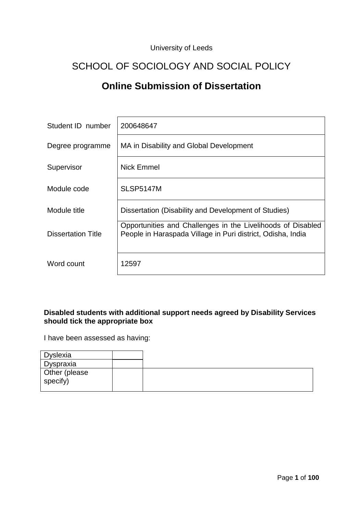## University of Leeds

# SCHOOL OF SOCIOLOGY AND SOCIAL POLICY

# **Online Submission of Dissertation**

| Student ID number  | 200648647                                                                                                                  |
|--------------------|----------------------------------------------------------------------------------------------------------------------------|
| Degree programme   | MA in Disability and Global Development                                                                                    |
| Supervisor         | Nick Emmel                                                                                                                 |
| Module code        | <b>SLSP5147M</b>                                                                                                           |
| Module title       | Dissertation (Disability and Development of Studies)                                                                       |
| Dissertation Title | Opportunities and Challenges in the Livelihoods of Disabled<br>People in Haraspada Village in Puri district, Odisha, India |
| Word count         | 12597                                                                                                                      |

### **Disabled students with additional support needs agreed by Disability Services should tick the appropriate box**

I have been assessed as having:

| Dyslexia                  |  |
|---------------------------|--|
| Dyspraxia                 |  |
| Other (please<br>specify) |  |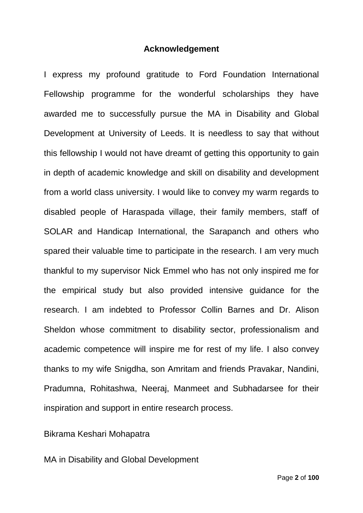## **Acknowledgement**

I express my profound gratitude to Ford Foundation International Fellowship programme for the wonderful scholarships they have awarded me to successfully pursue the MA in Disability and Global Development at University of Leeds. It is needless to say that without this fellowship I would not have dreamt of getting this opportunity to gain in depth of academic knowledge and skill on disability and development from a world class university. I would like to convey my warm regards to disabled people of Haraspada village, their family members, staff of SOLAR and Handicap International, the Sarapanch and others who spared their valuable time to participate in the research. I am very much thankful to my supervisor Nick Emmel who has not only inspired me for the empirical study but also provided intensive guidance for the research. I am indebted to Professor Collin Barnes and Dr. Alison Sheldon whose commitment to disability sector, professionalism and academic competence will inspire me for rest of my life. I also convey thanks to my wife Snigdha, son Amritam and friends Pravakar, Nandini, Pradumna, Rohitashwa, Neeraj, Manmeet and Subhadarsee for their inspiration and support in entire research process.

## Bikrama Keshari Mohapatra

MA in Disability and Global Development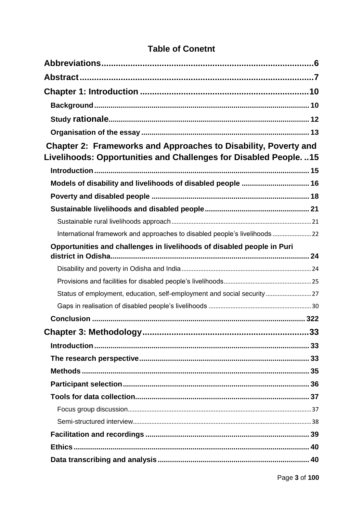| Chapter 2: Frameworks and Approaches to Disability, Poverty and<br>Livelihoods: Opportunities and Challenges for Disabled People. 15 |  |
|--------------------------------------------------------------------------------------------------------------------------------------|--|
|                                                                                                                                      |  |
| Models of disability and livelihoods of disabled people  16                                                                          |  |
|                                                                                                                                      |  |
|                                                                                                                                      |  |
|                                                                                                                                      |  |
| International framework and approaches to disabled people's livelihoods  22                                                          |  |
| Opportunities and challenges in livelihoods of disabled people in Puri                                                               |  |
|                                                                                                                                      |  |
|                                                                                                                                      |  |
| Status of employment, education, self-employment and social security27                                                               |  |
|                                                                                                                                      |  |
|                                                                                                                                      |  |
|                                                                                                                                      |  |
|                                                                                                                                      |  |
|                                                                                                                                      |  |
|                                                                                                                                      |  |
|                                                                                                                                      |  |
|                                                                                                                                      |  |
|                                                                                                                                      |  |
|                                                                                                                                      |  |
|                                                                                                                                      |  |
|                                                                                                                                      |  |
|                                                                                                                                      |  |

# **Table of Conetnt**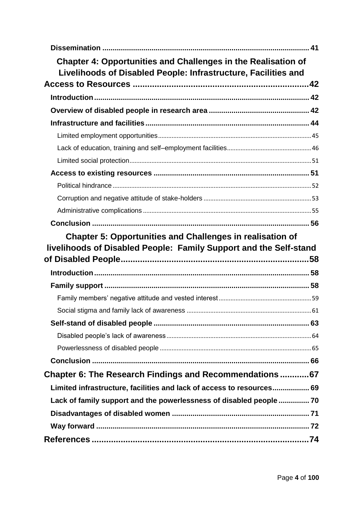| <b>Chapter 4: Opportunities and Challenges in the Realisation of</b><br>Livelihoods of Disabled People: Infrastructure, Facilities and |  |
|----------------------------------------------------------------------------------------------------------------------------------------|--|
|                                                                                                                                        |  |
|                                                                                                                                        |  |
|                                                                                                                                        |  |
|                                                                                                                                        |  |
|                                                                                                                                        |  |
|                                                                                                                                        |  |
|                                                                                                                                        |  |
|                                                                                                                                        |  |
|                                                                                                                                        |  |
|                                                                                                                                        |  |
|                                                                                                                                        |  |
|                                                                                                                                        |  |
| <b>Chapter 5: Opportunities and Challenges in realisation of</b>                                                                       |  |
|                                                                                                                                        |  |
| livelihoods of Disabled People: Family Support and the Self-stand                                                                      |  |
|                                                                                                                                        |  |
|                                                                                                                                        |  |
|                                                                                                                                        |  |
|                                                                                                                                        |  |
|                                                                                                                                        |  |
|                                                                                                                                        |  |
|                                                                                                                                        |  |
|                                                                                                                                        |  |
|                                                                                                                                        |  |
| Chapter 6: The Research Findings and Recommendations67                                                                                 |  |
| Limited infrastructure, facilities and lack of access to resources 69                                                                  |  |
| Lack of family support and the powerlessness of disabled people  70                                                                    |  |
|                                                                                                                                        |  |
|                                                                                                                                        |  |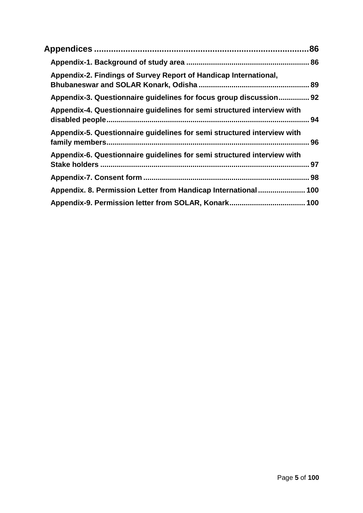| Appendix-2. Findings of Survey Report of Handicap International,        |  |
|-------------------------------------------------------------------------|--|
| Appendix-3. Questionnaire guidelines for focus group discussion 92      |  |
| Appendix-4. Questionnaire guidelines for semi structured interview with |  |
| Appendix-5. Questionnaire guidelines for semi structured interview with |  |
| Appendix-6. Questionnaire guidelines for semi structured interview with |  |
|                                                                         |  |
| Appendix. 8. Permission Letter from Handicap International 100          |  |
|                                                                         |  |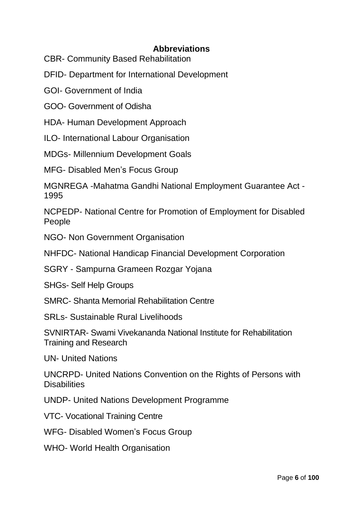# **Abbreviations**

<span id="page-5-0"></span>CBR- Community Based Rehabilitation

DFID- Department for International Development

GOI- Government of India

GOO- Government of Odisha

HDA- Human Development Approach

ILO- International Labour Organisation

MDGs- Millennium Development Goals

MFG- Disabled Men's Focus Group

MGNREGA -Mahatma Gandhi National Employment Guarantee Act - 1995

NCPEDP- National Centre for Promotion of Employment for Disabled People

NGO- Non Government Organisation

NHFDC- National Handicap Financial Development Corporation

SGRY - Sampurna Grameen Rozgar Yojana

SHGs- Self Help Groups

SMRC- Shanta Memorial Rehabilitation Centre

SRLs- Sustainable Rural Livelihoods

SVNIRTAR- Swami Vivekananda National Institute for Rehabilitation Training and Research

UN- United Nations

UNCRPD- United Nations Convention on the Rights of Persons with **Disabilities** 

UNDP- United Nations Development Programme

VTC- Vocational Training Centre

WFG- Disabled Women's Focus Group

WHO- World Health Organisation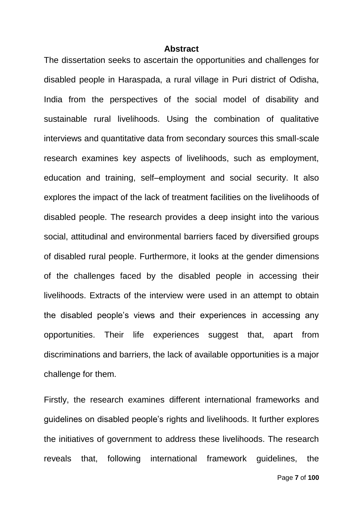#### **Abstract**

<span id="page-6-0"></span>The dissertation seeks to ascertain the opportunities and challenges for disabled people in Haraspada, a rural village in Puri district of Odisha, India from the perspectives of the social model of disability and sustainable rural livelihoods. Using the combination of qualitative interviews and quantitative data from secondary sources this small-scale research examines key aspects of livelihoods, such as employment, education and training, self–employment and social security. It also explores the impact of the lack of treatment facilities on the livelihoods of disabled people. The research provides a deep insight into the various social, attitudinal and environmental barriers faced by diversified groups of disabled rural people. Furthermore, it looks at the gender dimensions of the challenges faced by the disabled people in accessing their livelihoods. Extracts of the interview were used in an attempt to obtain the disabled people's views and their experiences in accessing any opportunities. Their life experiences suggest that, apart from discriminations and barriers, the lack of available opportunities is a major challenge for them.

Firstly, the research examines different international frameworks and guidelines on disabled people's rights and livelihoods. It further explores the initiatives of government to address these livelihoods. The research reveals that, following international framework guidelines, the

Page **7** of **100**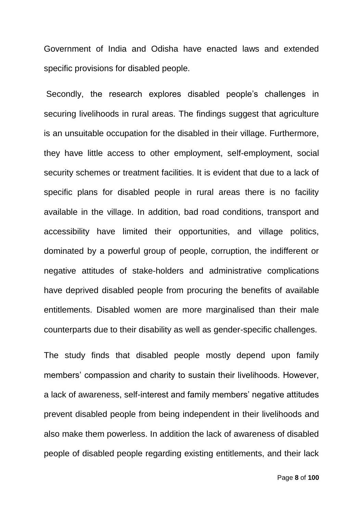Government of India and Odisha have enacted laws and extended specific provisions for disabled people.

Secondly, the research explores disabled people's challenges in securing livelihoods in rural areas. The findings suggest that agriculture is an unsuitable occupation for the disabled in their village. Furthermore, they have little access to other employment, self-employment, social security schemes or treatment facilities. It is evident that due to a lack of specific plans for disabled people in rural areas there is no facility available in the village. In addition, bad road conditions, transport and accessibility have limited their opportunities, and village politics, dominated by a powerful group of people, corruption, the indifferent or negative attitudes of stake-holders and administrative complications have deprived disabled people from procuring the benefits of available entitlements. Disabled women are more marginalised than their male counterparts due to their disability as well as gender-specific challenges.

The study finds that disabled people mostly depend upon family members' compassion and charity to sustain their livelihoods. However, a lack of awareness, self-interest and family members' negative attitudes prevent disabled people from being independent in their livelihoods and also make them powerless. In addition the lack of awareness of disabled people of disabled people regarding existing entitlements, and their lack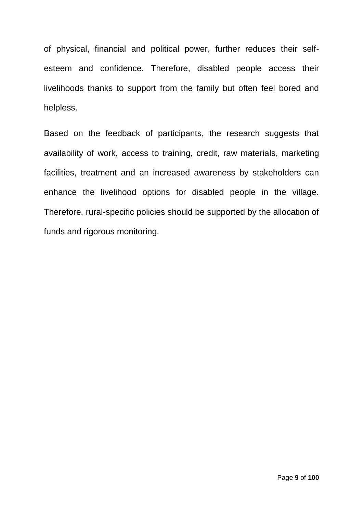of physical, financial and political power, further reduces their selfesteem and confidence. Therefore, disabled people access their livelihoods thanks to support from the family but often feel bored and helpless.

Based on the feedback of participants, the research suggests that availability of work, access to training, credit, raw materials, marketing facilities, treatment and an increased awareness by stakeholders can enhance the livelihood options for disabled people in the village. Therefore, rural-specific policies should be supported by the allocation of funds and rigorous monitoring.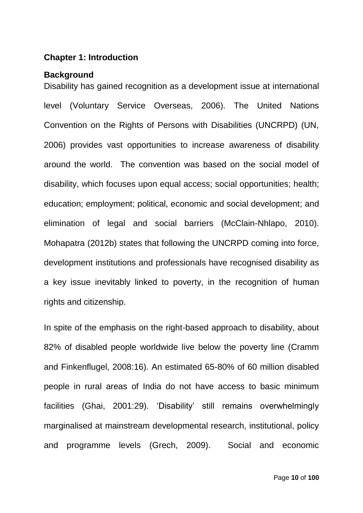## <span id="page-9-0"></span>**Chapter 1: Introduction**

### <span id="page-9-1"></span>**Background**

Disability has gained recognition as a development issue at international level (Voluntary Service Overseas, 2006). The United Nations Convention on the Rights of Persons with Disabilities (UNCRPD) (UN, 2006) provides vast opportunities to increase awareness of disability around the world. The convention was based on the social model of disability, which focuses upon equal access; social opportunities; health; education; employment; political, economic and social development; and elimination of legal and social barriers (McClain-Nhlapo, 2010). Mohapatra (2012b) states that following the UNCRPD coming into force, development institutions and professionals have recognised disability as a key issue inevitably linked to poverty, in the recognition of human rights and citizenship.

In spite of the emphasis on the right-based approach to disability, about 82% of disabled people worldwide live below the poverty line (Cramm and Finkenflugel, 2008:16). An estimated 65-80% of 60 million disabled people in rural areas of India do not have access to basic minimum facilities (Ghai, 2001:29). 'Disability' still remains overwhelmingly marginalised at mainstream developmental research, institutional, policy and programme levels (Grech, 2009). Social and economic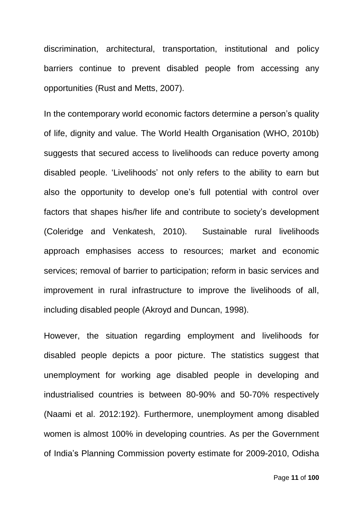discrimination, architectural, transportation, institutional and policy barriers continue to prevent disabled people from accessing any opportunities (Rust and Metts, 2007).

In the contemporary world economic factors determine a person's quality of life, dignity and value. The World Health Organisation (WHO, 2010b) suggests that secured access to livelihoods can reduce poverty among disabled people. 'Livelihoods' not only refers to the ability to earn but also the opportunity to develop one's full potential with control over factors that shapes his/her life and contribute to society's development (Coleridge and Venkatesh, 2010). Sustainable rural livelihoods approach emphasises access to resources; market and economic services; removal of barrier to participation; reform in basic services and improvement in rural infrastructure to improve the livelihoods of all, including disabled people (Akroyd and Duncan, 1998).

However, the situation regarding employment and livelihoods for disabled people depicts a poor picture. The statistics suggest that unemployment for working age disabled people in developing and industrialised countries is between 80-90% and 50-70% respectively (Naami et al. 2012:192). Furthermore, unemployment among disabled women is almost 100% in developing countries. As per the Government of India's Planning Commission poverty estimate for 2009-2010, Odisha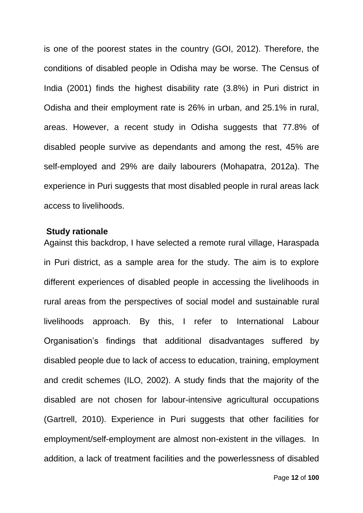is one of the poorest states in the country (GOI, 2012). Therefore, the conditions of disabled people in Odisha may be worse. The Census of India (2001) finds the highest disability rate (3.8%) in Puri district in Odisha and their employment rate is 26% in urban, and 25.1% in rural, areas. However, a recent study in Odisha suggests that 77.8% of disabled people survive as dependants and among the rest, 45% are self-employed and 29% are daily labourers (Mohapatra, 2012a). The experience in Puri suggests that most disabled people in rural areas lack access to livelihoods.

#### <span id="page-11-0"></span>**Study rationale**

Against this backdrop, I have selected a remote rural village, Haraspada in Puri district, as a sample area for the study. The aim is to explore different experiences of disabled people in accessing the livelihoods in rural areas from the perspectives of social model and sustainable rural livelihoods approach. By this, I refer to International Labour Organisation's findings that additional disadvantages suffered by disabled people due to lack of access to education, training, employment and credit schemes (ILO, 2002). A study finds that the majority of the disabled are not chosen for labour-intensive agricultural occupations (Gartrell, 2010). Experience in Puri suggests that other facilities for employment/self-employment are almost non-existent in the villages. In addition, a lack of treatment facilities and the powerlessness of disabled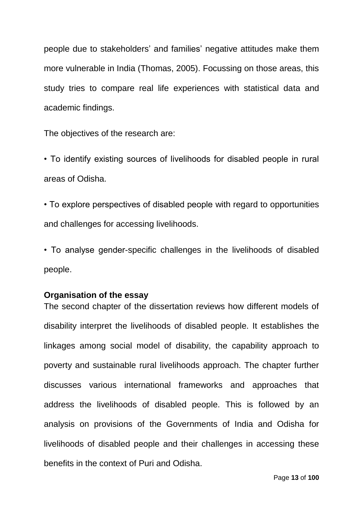people due to stakeholders' and families' negative attitudes make them more vulnerable in India (Thomas, 2005). Focussing on those areas, this study tries to compare real life experiences with statistical data and academic findings.

The objectives of the research are:

• To identify existing sources of livelihoods for disabled people in rural areas of Odisha.

• To explore perspectives of disabled people with regard to opportunities and challenges for accessing livelihoods.

• To analyse gender-specific challenges in the livelihoods of disabled people.

#### <span id="page-12-0"></span>**Organisation of the essay**

The second chapter of the dissertation reviews how different models of disability interpret the livelihoods of disabled people. It establishes the linkages among social model of disability, the capability approach to poverty and sustainable rural livelihoods approach. The chapter further discusses various international frameworks and approaches that address the livelihoods of disabled people. This is followed by an analysis on provisions of the Governments of India and Odisha for livelihoods of disabled people and their challenges in accessing these benefits in the context of Puri and Odisha.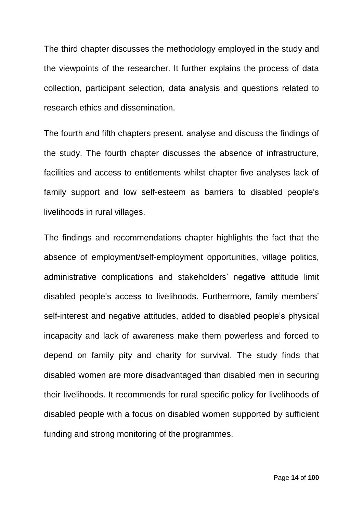The third chapter discusses the methodology employed in the study and the viewpoints of the researcher. It further explains the process of data collection, participant selection, data analysis and questions related to research ethics and dissemination.

The fourth and fifth chapters present, analyse and discuss the findings of the study. The fourth chapter discusses the absence of infrastructure, facilities and access to entitlements whilst chapter five analyses lack of family support and low self-esteem as barriers to disabled people's livelihoods in rural villages.

The findings and recommendations chapter highlights the fact that the absence of employment/self-employment opportunities, village politics, administrative complications and stakeholders' negative attitude limit disabled people's access to livelihoods. Furthermore, family members' self-interest and negative attitudes, added to disabled people's physical incapacity and lack of awareness make them powerless and forced to depend on family pity and charity for survival. The study finds that disabled women are more disadvantaged than disabled men in securing their livelihoods. It recommends for rural specific policy for livelihoods of disabled people with a focus on disabled women supported by sufficient funding and strong monitoring of the programmes.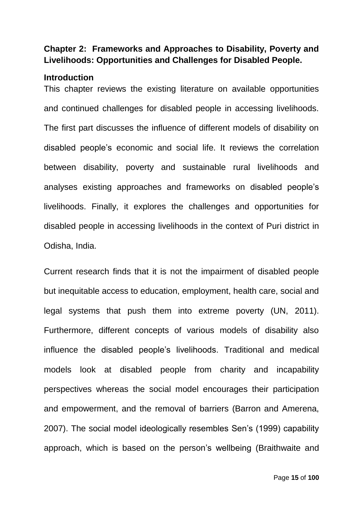# <span id="page-14-0"></span>**Chapter 2: Frameworks and Approaches to Disability, Poverty and Livelihoods: Opportunities and Challenges for Disabled People.**

## <span id="page-14-1"></span>**Introduction**

This chapter reviews the existing literature on available opportunities and continued challenges for disabled people in accessing livelihoods. The first part discusses the influence of different models of disability on disabled people's economic and social life. It reviews the correlation between disability, poverty and sustainable rural livelihoods and analyses existing approaches and frameworks on disabled people's livelihoods. Finally, it explores the challenges and opportunities for disabled people in accessing livelihoods in the context of Puri district in Odisha, India.

Current research finds that it is not the impairment of disabled people but inequitable access to education, employment, health care, social and legal systems that push them into extreme poverty (UN, 2011). Furthermore, different concepts of various models of disability also influence the disabled people's livelihoods. Traditional and medical models look at disabled people from charity and incapability perspectives whereas the social model encourages their participation and empowerment, and the removal of barriers (Barron and Amerena, 2007). The social model ideologically resembles Sen's (1999) capability approach, which is based on the person's wellbeing (Braithwaite and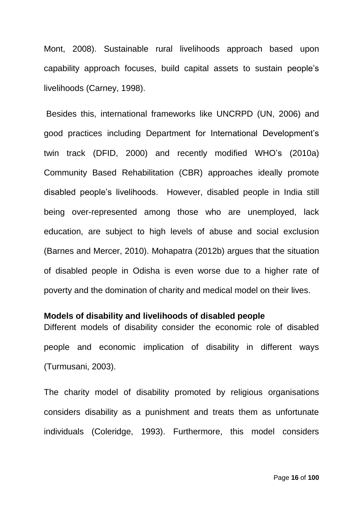Mont, 2008). Sustainable rural livelihoods approach based upon capability approach focuses, build capital assets to sustain people's livelihoods (Carney, 1998).

Besides this, international frameworks like UNCRPD (UN, 2006) and good practices including Department for International Development's twin track (DFID, 2000) and recently modified WHO's (2010a) Community Based Rehabilitation (CBR) approaches ideally promote disabled people's livelihoods. However, disabled people in India still being over-represented among those who are unemployed, lack education, are subject to high levels of abuse and social exclusion (Barnes and Mercer, 2010). Mohapatra (2012b) argues that the situation of disabled people in Odisha is even worse due to a higher rate of poverty and the domination of charity and medical model on their lives.

#### <span id="page-15-0"></span>**Models of disability and livelihoods of disabled people**

Different models of disability consider the economic role of disabled people and economic implication of disability in different ways (Turmusani, 2003).

The charity model of disability promoted by religious organisations considers disability as a punishment and treats them as unfortunate individuals (Coleridge, 1993). Furthermore, this model considers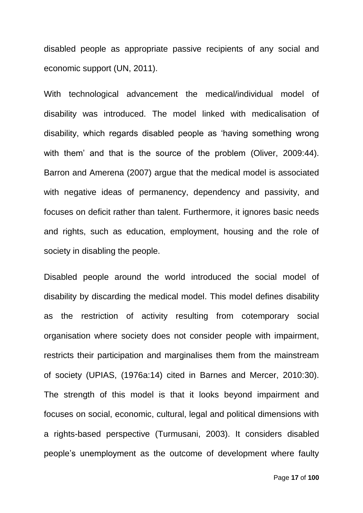disabled people as appropriate passive recipients of any social and economic support (UN, 2011).

With technological advancement the medical/individual model of disability was introduced. The model linked with medicalisation of disability, which regards disabled people as 'having something wrong with them' and that is the source of the problem (Oliver, 2009:44). Barron and Amerena (2007) argue that the medical model is associated with negative ideas of permanency, dependency and passivity, and focuses on deficit rather than talent. Furthermore, it ignores basic needs and rights, such as education, employment, housing and the role of society in disabling the people.

Disabled people around the world introduced the social model of disability by discarding the medical model. This model defines disability as the restriction of activity resulting from cotemporary social organisation where society does not consider people with impairment, restricts their participation and marginalises them from the mainstream of society (UPIAS, (1976a:14) cited in Barnes and Mercer, 2010:30). The strength of this model is that it looks beyond impairment and focuses on social, economic, cultural, legal and political dimensions with a rights-based perspective (Turmusani, 2003). It considers disabled people's unemployment as the outcome of development where faulty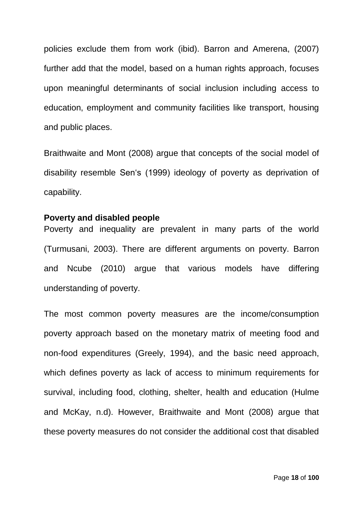policies exclude them from work (ibid). Barron and Amerena, (2007) further add that the model, based on a human rights approach, focuses upon meaningful determinants of social inclusion including access to education, employment and community facilities like transport, housing and public places.

Braithwaite and Mont (2008) argue that concepts of the social model of disability resemble Sen's (1999) ideology of poverty as deprivation of capability.

#### <span id="page-17-0"></span>**Poverty and disabled people**

Poverty and inequality are prevalent in many parts of the world (Turmusani, 2003). There are different arguments on poverty. Barron and Ncube (2010) argue that various models have differing understanding of poverty.

The most common poverty measures are the income/consumption poverty approach based on the monetary matrix of meeting food and non-food expenditures (Greely, 1994), and the basic need approach, which defines poverty as lack of access to minimum requirements for survival, including food, clothing, shelter, health and education (Hulme and McKay, n.d). However, Braithwaite and Mont (2008) argue that these poverty measures do not consider the additional cost that disabled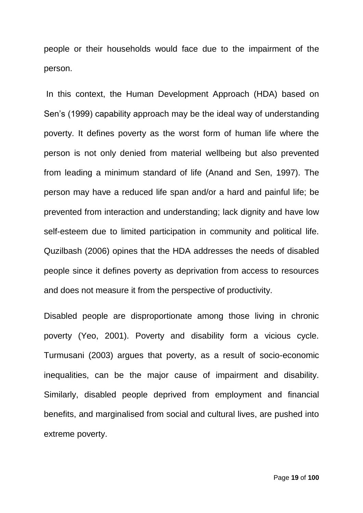people or their households would face due to the impairment of the person.

In this context, the Human Development Approach (HDA) based on Sen's (1999) capability approach may be the ideal way of understanding poverty. It defines poverty as the worst form of human life where the person is not only denied from material wellbeing but also prevented from leading a minimum standard of life (Anand and Sen, 1997). The person may have a reduced life span and/or a hard and painful life; be prevented from interaction and understanding; lack dignity and have low self-esteem due to limited participation in community and political life. Quzilbash (2006) opines that the HDA addresses the needs of disabled people since it defines poverty as deprivation from access to resources and does not measure it from the perspective of productivity.

Disabled people are disproportionate among those living in chronic poverty (Yeo, 2001). Poverty and disability form a vicious cycle. Turmusani (2003) argues that poverty, as a result of socio-economic inequalities, can be the major cause of impairment and disability. Similarly, disabled people deprived from employment and financial benefits, and marginalised from social and cultural lives, are pushed into extreme poverty.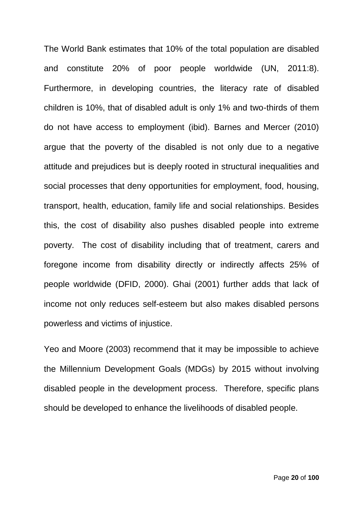The World Bank estimates that 10% of the total population are disabled and constitute 20% of poor people worldwide (UN, 2011:8). Furthermore, in developing countries, the literacy rate of disabled children is 10%, that of disabled adult is only 1% and two-thirds of them do not have access to employment (ibid). Barnes and Mercer (2010) argue that the poverty of the disabled is not only due to a negative attitude and prejudices but is deeply rooted in structural inequalities and social processes that deny opportunities for employment, food, housing, transport, health, education, family life and social relationships. Besides this, the cost of disability also pushes disabled people into extreme poverty. The cost of disability including that of treatment, carers and foregone income from disability directly or indirectly affects 25% of people worldwide (DFID, 2000). Ghai (2001) further adds that lack of income not only reduces self-esteem but also makes disabled persons powerless and victims of injustice.

Yeo and Moore (2003) recommend that it may be impossible to achieve the Millennium Development Goals (MDGs) by 2015 without involving disabled people in the development process. Therefore, specific plans should be developed to enhance the livelihoods of disabled people.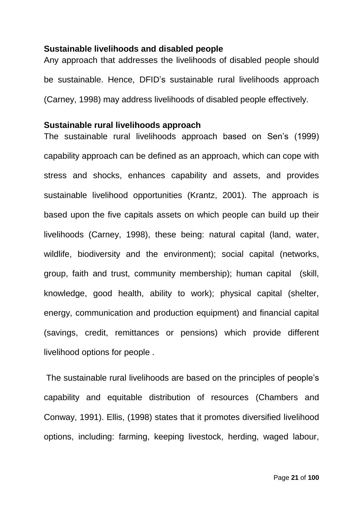## <span id="page-20-0"></span>**Sustainable livelihoods and disabled people**

Any approach that addresses the livelihoods of disabled people should be sustainable. Hence, DFID's sustainable rural livelihoods approach (Carney, 1998) may address livelihoods of disabled people effectively.

### <span id="page-20-1"></span>**Sustainable rural livelihoods approach**

The sustainable rural livelihoods approach based on Sen's (1999) capability approach can be defined as an approach, which can cope with stress and shocks, enhances capability and assets, and provides sustainable livelihood opportunities (Krantz, 2001). The approach is based upon the five capitals assets on which people can build up their livelihoods (Carney, 1998), these being: natural capital (land, water, wildlife, biodiversity and the environment); social capital (networks, group, faith and trust, community membership); human capital (skill, knowledge, good health, ability to work); physical capital (shelter, energy, communication and production equipment) and financial capital (savings, credit, remittances or pensions) which provide different livelihood options for people .

The sustainable rural livelihoods are based on the principles of people's capability and equitable distribution of resources (Chambers and Conway, 1991). Ellis, (1998) states that it promotes diversified livelihood options, including: farming, keeping livestock, herding, waged labour,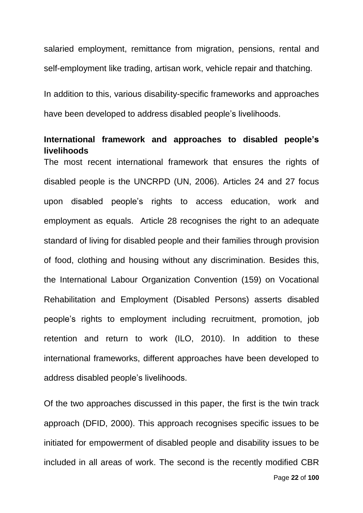salaried employment, remittance from migration, pensions, rental and self-employment like trading, artisan work, vehicle repair and thatching.

In addition to this, various disability-specific frameworks and approaches have been developed to address disabled people's livelihoods.

# <span id="page-21-0"></span>**International framework and approaches to disabled people's livelihoods**

The most recent international framework that ensures the rights of disabled people is the UNCRPD (UN, 2006). Articles 24 and 27 focus upon disabled people's rights to access education, work and employment as equals. Article 28 recognises the right to an adequate standard of living for disabled people and their families through provision of food, clothing and housing without any discrimination. Besides this, the International Labour Organization Convention (159) on Vocational Rehabilitation and Employment (Disabled Persons) asserts disabled people's rights to employment including recruitment, promotion, job retention and return to work (ILO, 2010). In addition to these international frameworks, different approaches have been developed to address disabled people's livelihoods.

Of the two approaches discussed in this paper, the first is the twin track approach (DFID, 2000). This approach recognises specific issues to be initiated for empowerment of disabled people and disability issues to be included in all areas of work. The second is the recently modified CBR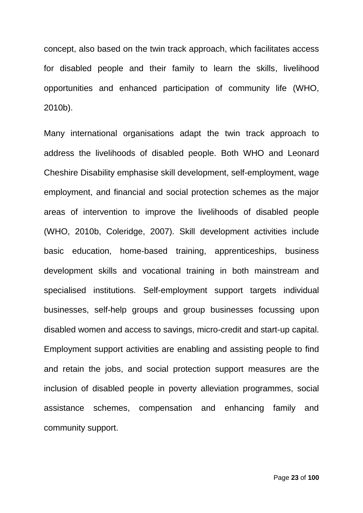concept, also based on the twin track approach, which facilitates access for disabled people and their family to learn the skills, livelihood opportunities and enhanced participation of community life (WHO, 2010b).

Many international organisations adapt the twin track approach to address the livelihoods of disabled people. Both WHO and Leonard Cheshire Disability emphasise skill development, self-employment, wage employment, and financial and social protection schemes as the major areas of intervention to improve the livelihoods of disabled people (WHO, 2010b, Coleridge, 2007). Skill development activities include basic education, home-based training, apprenticeships, business development skills and vocational training in both mainstream and specialised institutions. Self-employment support targets individual businesses, self-help groups and group businesses focussing upon disabled women and access to savings, micro-credit and start-up capital. Employment support activities are enabling and assisting people to find and retain the jobs, and social protection support measures are the inclusion of disabled people in poverty alleviation programmes, social assistance schemes, compensation and enhancing family and community support.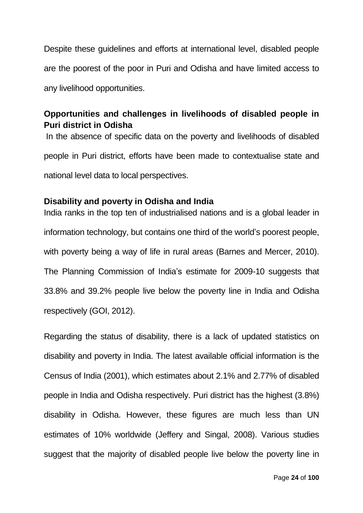Despite these guidelines and efforts at international level, disabled people are the poorest of the poor in Puri and Odisha and have limited access to any livelihood opportunities.

# <span id="page-23-0"></span>**Opportunities and challenges in livelihoods of disabled people in Puri district in Odisha**

In the absence of specific data on the poverty and livelihoods of disabled people in Puri district, efforts have been made to contextualise state and national level data to local perspectives.

# <span id="page-23-1"></span>**Disability and poverty in Odisha and India**

India ranks in the top ten of industrialised nations and is a global leader in information technology, but contains one third of the world's poorest people, with poverty being a way of life in rural areas (Barnes and Mercer, 2010). The Planning Commission of India's estimate for 2009-10 suggests that 33.8% and 39.2% people live below the poverty line in India and Odisha respectively (GOI, 2012).

Regarding the status of disability, there is a lack of updated statistics on disability and poverty in India. The latest available official information is the Census of India (2001), which estimates about 2.1% and 2.77% of disabled people in India and Odisha respectively. Puri district has the highest (3.8%) disability in Odisha. However, these figures are much less than UN estimates of 10% worldwide (Jeffery and Singal, 2008). Various studies suggest that the majority of disabled people live below the poverty line in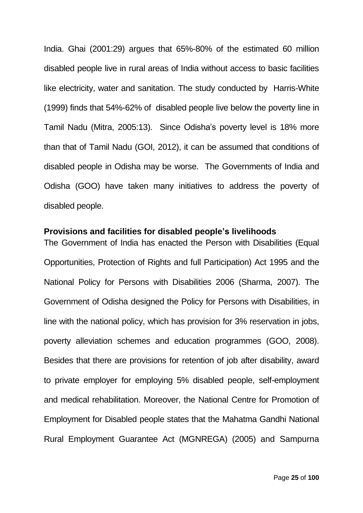India. Ghai (2001:29) argues that 65%-80% of the estimated 60 million disabled people live in rural areas of India without access to basic facilities like electricity, water and sanitation. The study conducted by Harris-White (1999) finds that 54%-62% of disabled people live below the poverty line in Tamil Nadu (Mitra, 2005:13). Since Odisha's poverty level is 18% more than that of Tamil Nadu (GOI, 2012), it can be assumed that conditions of disabled people in Odisha may be worse. The Governments of India and Odisha (GOO) have taken many initiatives to address the poverty of disabled people.

## <span id="page-24-0"></span>**Provisions and facilities for disabled people's livelihoods**

The Government of India has enacted the Person with Disabilities (Equal Opportunities, Protection of Rights and full Participation) Act 1995 and the National Policy for Persons with Disabilities 2006 (Sharma, 2007). The Government of Odisha designed the Policy for Persons with Disabilities, in line with the national policy, which has provision for 3% reservation in jobs, poverty alleviation schemes and education programmes (GOO, 2008). Besides that there are provisions for retention of job after disability, award to private employer for employing 5% disabled people, self-employment and medical rehabilitation. Moreover, the National Centre for Promotion of Employment for Disabled people states that the Mahatma Gandhi National Rural Employment Guarantee Act (MGNREGA) (2005) and Sampurna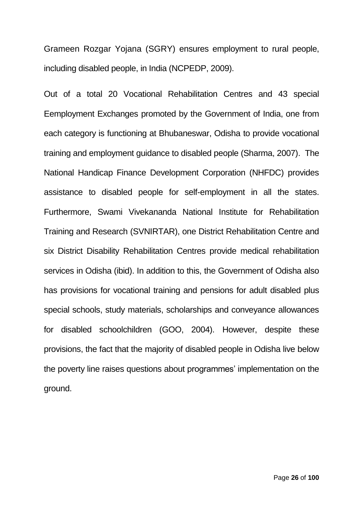Grameen Rozgar Yojana (SGRY) ensures employment to rural people, including disabled people, in India (NCPEDP, 2009).

Out of a total 20 Vocational Rehabilitation Centres and 43 special Eemployment Exchanges promoted by the Government of India, one from each category is functioning at Bhubaneswar, Odisha to provide vocational training and employment guidance to disabled people (Sharma, 2007). The National Handicap Finance Development Corporation (NHFDC) provides assistance to disabled people for self-employment in all the states. Furthermore, Swami Vivekananda National Institute for Rehabilitation Training and Research (SVNIRTAR), one District Rehabilitation Centre and six District Disability Rehabilitation Centres provide medical rehabilitation services in Odisha (ibid). In addition to this, the Government of Odisha also has provisions for vocational training and pensions for adult disabled plus special schools, study materials, scholarships and conveyance allowances for disabled schoolchildren (GOO, 2004). However, despite these provisions, the fact that the majority of disabled people in Odisha live below the poverty line raises questions about programmes' implementation on the ground.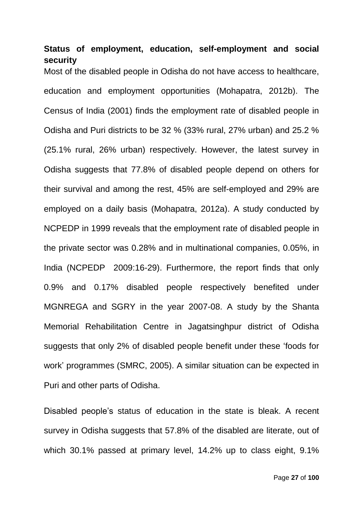# <span id="page-26-0"></span>**Status of employment, education, self-employment and social security**

Most of the disabled people in Odisha do not have access to healthcare, education and employment opportunities (Mohapatra, 2012b). The Census of India (2001) finds the employment rate of disabled people in Odisha and Puri districts to be 32 % (33% rural, 27% urban) and 25.2 % (25.1% rural, 26% urban) respectively. However, the latest survey in Odisha suggests that 77.8% of disabled people depend on others for their survival and among the rest, 45% are self-employed and 29% are employed on a daily basis (Mohapatra, 2012a). A study conducted by NCPEDP in 1999 reveals that the employment rate of disabled people in the private sector was 0.28% and in multinational companies, 0.05%, in India (NCPEDP 2009:16-29). Furthermore, the report finds that only 0.9% and 0.17% disabled people respectively benefited under MGNREGA and SGRY in the year 2007-08. A study by the Shanta Memorial Rehabilitation Centre in Jagatsinghpur district of Odisha suggests that only 2% of disabled people benefit under these 'foods for work' programmes (SMRC, 2005). A similar situation can be expected in Puri and other parts of Odisha.

Disabled people's status of education in the state is bleak. A recent survey in Odisha suggests that 57.8% of the disabled are literate, out of which 30.1% passed at primary level, 14.2% up to class eight, 9.1%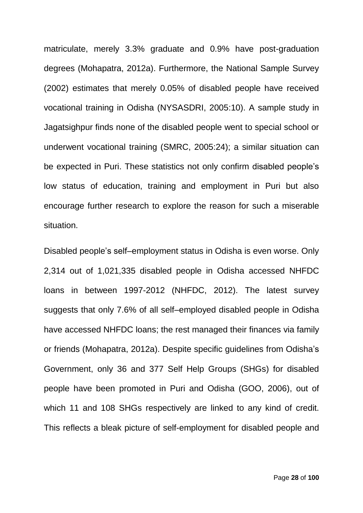matriculate, merely 3.3% graduate and 0.9% have post-graduation degrees (Mohapatra, 2012a). Furthermore, the National Sample Survey (2002) estimates that merely 0.05% of disabled people have received vocational training in Odisha (NYSASDRI, 2005:10). A sample study in Jagatsighpur finds none of the disabled people went to special school or underwent vocational training (SMRC, 2005:24); a similar situation can be expected in Puri. These statistics not only confirm disabled people's low status of education, training and employment in Puri but also encourage further research to explore the reason for such a miserable situation.

Disabled people's self–employment status in Odisha is even worse. Only 2,314 out of 1,021,335 disabled people in Odisha accessed NHFDC loans in between 1997-2012 (NHFDC, 2012). The latest survey suggests that only 7.6% of all self–employed disabled people in Odisha have accessed NHFDC loans; the rest managed their finances via family or friends (Mohapatra, 2012a). Despite specific guidelines from Odisha's Government, only 36 and 377 Self Help Groups (SHGs) for disabled people have been promoted in Puri and Odisha (GOO, 2006), out of which 11 and 108 SHGs respectively are linked to any kind of credit. This reflects a bleak picture of self-employment for disabled people and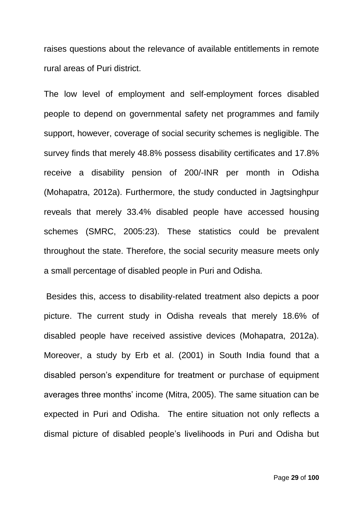raises questions about the relevance of available entitlements in remote rural areas of Puri district.

The low level of employment and self-employment forces disabled people to depend on governmental safety net programmes and family support, however, coverage of social security schemes is negligible. The survey finds that merely 48.8% possess disability certificates and 17.8% receive a disability pension of 200/-INR per month in Odisha (Mohapatra, 2012a). Furthermore, the study conducted in Jagtsinghpur reveals that merely 33.4% disabled people have accessed housing schemes (SMRC, 2005:23). These statistics could be prevalent throughout the state. Therefore, the social security measure meets only a small percentage of disabled people in Puri and Odisha.

Besides this, access to disability-related treatment also depicts a poor picture. The current study in Odisha reveals that merely 18.6% of disabled people have received assistive devices (Mohapatra, 2012a). Moreover, a study by Erb et al. (2001) in South India found that a disabled person's expenditure for treatment or purchase of equipment averages three months' income (Mitra, 2005). The same situation can be expected in Puri and Odisha. The entire situation not only reflects a dismal picture of disabled people's livelihoods in Puri and Odisha but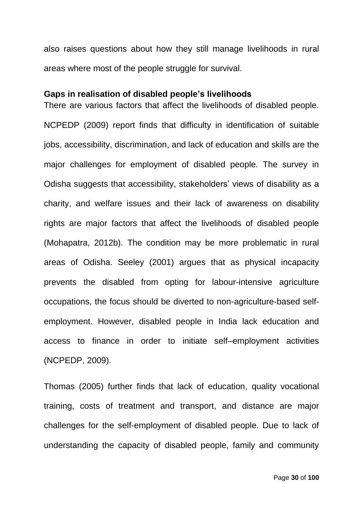also raises questions about how they still manage livelihoods in rural areas where most of the people struggle for survival.

#### <span id="page-29-0"></span>**Gaps in realisation of disabled people's livelihoods**

There are various factors that affect the livelihoods of disabled people. NCPEDP (2009) report finds that difficulty in identification of suitable jobs, accessibility, discrimination, and lack of education and skills are the major challenges for employment of disabled people. The survey in Odisha suggests that accessibility, stakeholders' views of disability as a charity, and welfare issues and their lack of awareness on disability rights are major factors that affect the livelihoods of disabled people (Mohapatra, 2012b). The condition may be more problematic in rural areas of Odisha. Seeley (2001) argues that as physical incapacity prevents the disabled from opting for labour-intensive agriculture occupations, the focus should be diverted to non-agriculture-based selfemployment. However, disabled people in India lack education and access to finance in order to initiate self–employment activities (NCPEDP, 2009).

Thomas (2005) further finds that lack of education, quality vocational training, costs of treatment and transport, and distance are major challenges for the self-employment of disabled people. Due to lack of understanding the capacity of disabled people, family and community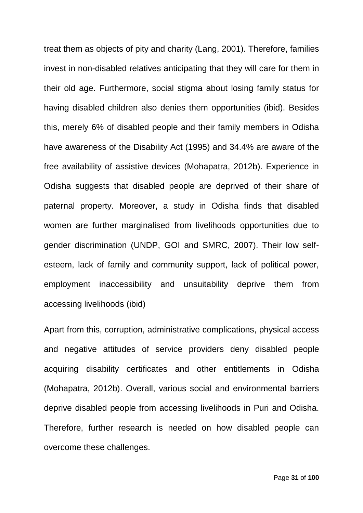treat them as objects of pity and charity (Lang, 2001). Therefore, families invest in non-disabled relatives anticipating that they will care for them in their old age. Furthermore, social stigma about losing family status for having disabled children also denies them opportunities (ibid). Besides this, merely 6% of disabled people and their family members in Odisha have awareness of the Disability Act (1995) and 34.4% are aware of the free availability of assistive devices (Mohapatra, 2012b). Experience in Odisha suggests that disabled people are deprived of their share of paternal property. Moreover, a study in Odisha finds that disabled women are further marginalised from livelihoods opportunities due to gender discrimination (UNDP, GOI and SMRC, 2007). Their low selfesteem, lack of family and community support, lack of political power, employment inaccessibility and unsuitability deprive them from accessing livelihoods (ibid)

Apart from this, corruption, administrative complications, physical access and negative attitudes of service providers deny disabled people acquiring disability certificates and other entitlements in Odisha (Mohapatra, 2012b). Overall, various social and environmental barriers deprive disabled people from accessing livelihoods in Puri and Odisha. Therefore, further research is needed on how disabled people can overcome these challenges.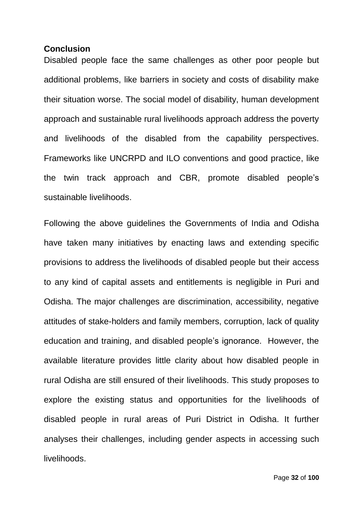### <span id="page-31-0"></span>**Conclusion**

Disabled people face the same challenges as other poor people but additional problems, like barriers in society and costs of disability make their situation worse. The social model of disability, human development approach and sustainable rural livelihoods approach address the poverty and livelihoods of the disabled from the capability perspectives. Frameworks like UNCRPD and ILO conventions and good practice, like the twin track approach and CBR, promote disabled people's sustainable livelihoods.

Following the above guidelines the Governments of India and Odisha have taken many initiatives by enacting laws and extending specific provisions to address the livelihoods of disabled people but their access to any kind of capital assets and entitlements is negligible in Puri and Odisha. The major challenges are discrimination, accessibility, negative attitudes of stake-holders and family members, corruption, lack of quality education and training, and disabled people's ignorance. However, the available literature provides little clarity about how disabled people in rural Odisha are still ensured of their livelihoods. This study proposes to explore the existing status and opportunities for the livelihoods of disabled people in rural areas of Puri District in Odisha. It further analyses their challenges, including gender aspects in accessing such livelihoods.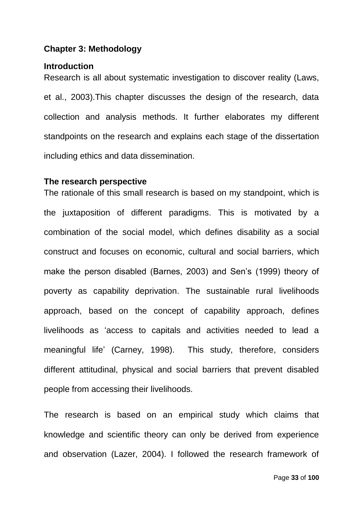### <span id="page-32-0"></span>**Chapter 3: Methodology**

#### <span id="page-32-1"></span>**Introduction**

Research is all about systematic investigation to discover reality (Laws, et al., 2003).This chapter discusses the design of the research, data collection and analysis methods. It further elaborates my different standpoints on the research and explains each stage of the dissertation including ethics and data dissemination.

#### <span id="page-32-2"></span>**The research perspective**

The rationale of this small research is based on my standpoint, which is the juxtaposition of different paradigms. This is motivated by a combination of the social model, which defines disability as a social construct and focuses on economic, cultural and social barriers, which make the person disabled (Barnes, 2003) and Sen's (1999) theory of poverty as capability deprivation. The sustainable rural livelihoods approach, based on the concept of capability approach, defines livelihoods as 'access to capitals and activities needed to lead a meaningful life' (Carney, 1998). This study, therefore, considers different attitudinal, physical and social barriers that prevent disabled people from accessing their livelihoods.

The research is based on an empirical study which claims that knowledge and scientific theory can only be derived from experience and observation (Lazer, 2004). I followed the research framework of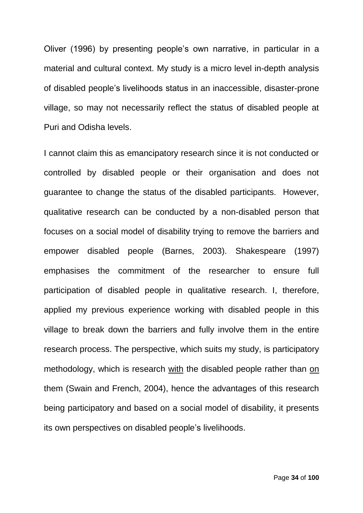Oliver (1996) by presenting people's own narrative, in particular in a material and cultural context. My study is a micro level in-depth analysis of disabled people's livelihoods status in an inaccessible, disaster-prone village, so may not necessarily reflect the status of disabled people at Puri and Odisha levels.

I cannot claim this as emancipatory research since it is not conducted or controlled by disabled people or their organisation and does not guarantee to change the status of the disabled participants. However, qualitative research can be conducted by a non-disabled person that focuses on a social model of disability trying to remove the barriers and empower disabled people (Barnes, 2003). Shakespeare (1997) emphasises the commitment of the researcher to ensure full participation of disabled people in qualitative research. I, therefore, applied my previous experience working with disabled people in this village to break down the barriers and fully involve them in the entire research process. The perspective, which suits my study, is participatory methodology, which is research with the disabled people rather than on them (Swain and French, 2004), hence the advantages of this research being participatory and based on a social model of disability, it presents its own perspectives on disabled people's livelihoods.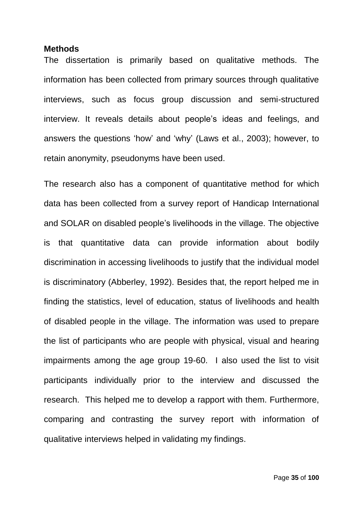#### <span id="page-34-0"></span>**Methods**

The dissertation is primarily based on qualitative methods. The information has been collected from primary sources through qualitative interviews, such as focus group discussion and semi-structured interview. It reveals details about people's ideas and feelings, and answers the questions 'how' and 'why' (Laws et al., 2003); however, to retain anonymity, pseudonyms have been used.

The research also has a component of quantitative method for which data has been collected from a survey report of Handicap International and SOLAR on disabled people's livelihoods in the village. The objective is that quantitative data can provide information about bodily discrimination in accessing livelihoods to justify that the individual model is discriminatory (Abberley, 1992). Besides that, the report helped me in finding the statistics, level of education, status of livelihoods and health of disabled people in the village. The information was used to prepare the list of participants who are people with physical, visual and hearing impairments among the age group 19-60. I also used the list to visit participants individually prior to the interview and discussed the research. This helped me to develop a rapport with them. Furthermore, comparing and contrasting the survey report with information of qualitative interviews helped in validating my findings.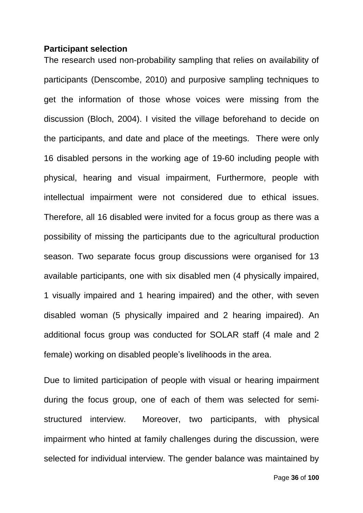#### <span id="page-35-0"></span>**Participant selection**

The research used non-probability sampling that relies on availability of participants (Denscombe, 2010) and purposive sampling techniques to get the information of those whose voices were missing from the discussion (Bloch, 2004). I visited the village beforehand to decide on the participants, and date and place of the meetings. There were only 16 disabled persons in the working age of 19-60 including people with physical, hearing and visual impairment, Furthermore, people with intellectual impairment were not considered due to ethical issues. Therefore, all 16 disabled were invited for a focus group as there was a possibility of missing the participants due to the agricultural production season. Two separate focus group discussions were organised for 13 available participants, one with six disabled men (4 physically impaired, 1 visually impaired and 1 hearing impaired) and the other, with seven disabled woman (5 physically impaired and 2 hearing impaired). An additional focus group was conducted for SOLAR staff (4 male and 2 female) working on disabled people's livelihoods in the area.

Due to limited participation of people with visual or hearing impairment during the focus group, one of each of them was selected for semistructured interview. Moreover, two participants, with physical impairment who hinted at family challenges during the discussion, were selected for individual interview. The gender balance was maintained by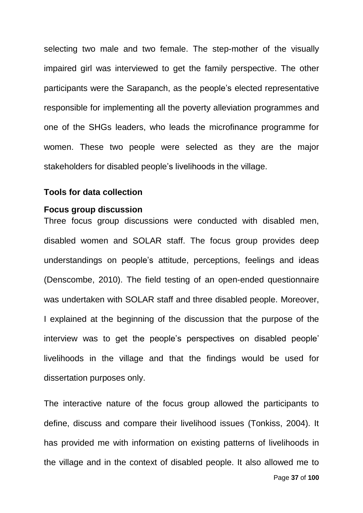selecting two male and two female. The step-mother of the visually impaired girl was interviewed to get the family perspective. The other participants were the Sarapanch, as the people's elected representative responsible for implementing all the poverty alleviation programmes and one of the SHGs leaders, who leads the microfinance programme for women. These two people were selected as they are the major stakeholders for disabled people's livelihoods in the village.

#### **Tools for data collection**

#### **Focus group discussion**

Three focus group discussions were conducted with disabled men, disabled women and SOLAR staff. The focus group provides deep understandings on people's attitude, perceptions, feelings and ideas (Denscombe, 2010). The field testing of an open-ended questionnaire was undertaken with SOLAR staff and three disabled people. Moreover, I explained at the beginning of the discussion that the purpose of the interview was to get the people's perspectives on disabled people' livelihoods in the village and that the findings would be used for dissertation purposes only.

The interactive nature of the focus group allowed the participants to define, discuss and compare their livelihood issues (Tonkiss, 2004). It has provided me with information on existing patterns of livelihoods in the village and in the context of disabled people. It also allowed me to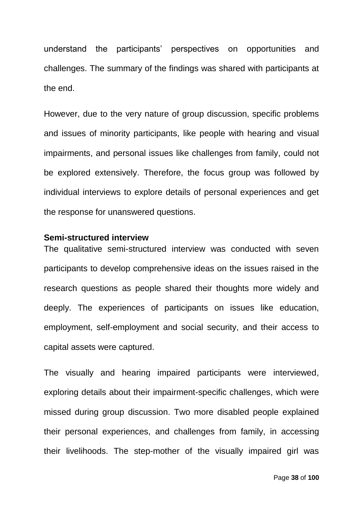understand the participants' perspectives on opportunities and challenges. The summary of the findings was shared with participants at the end.

However, due to the very nature of group discussion, specific problems and issues of minority participants, like people with hearing and visual impairments, and personal issues like challenges from family, could not be explored extensively. Therefore, the focus group was followed by individual interviews to explore details of personal experiences and get the response for unanswered questions.

## **Semi-structured interview**

The qualitative semi-structured interview was conducted with seven participants to develop comprehensive ideas on the issues raised in the research questions as people shared their thoughts more widely and deeply. The experiences of participants on issues like education, employment, self-employment and social security, and their access to capital assets were captured.

The visually and hearing impaired participants were interviewed, exploring details about their impairment-specific challenges, which were missed during group discussion. Two more disabled people explained their personal experiences, and challenges from family, in accessing their livelihoods. The step-mother of the visually impaired girl was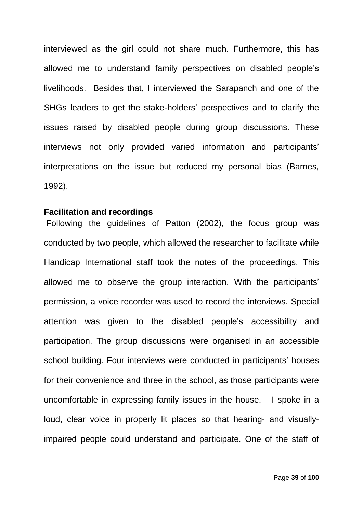interviewed as the girl could not share much. Furthermore, this has allowed me to understand family perspectives on disabled people's livelihoods. Besides that, I interviewed the Sarapanch and one of the SHGs leaders to get the stake-holders' perspectives and to clarify the issues raised by disabled people during group discussions. These interviews not only provided varied information and participants' interpretations on the issue but reduced my personal bias (Barnes, 1992).

## **Facilitation and recordings**

Following the guidelines of Patton (2002), the focus group was conducted by two people, which allowed the researcher to facilitate while Handicap International staff took the notes of the proceedings. This allowed me to observe the group interaction. With the participants' permission, a voice recorder was used to record the interviews. Special attention was given to the disabled people's accessibility and participation. The group discussions were organised in an accessible school building. Four interviews were conducted in participants' houses for their convenience and three in the school, as those participants were uncomfortable in expressing family issues in the house. I spoke in a loud, clear voice in properly lit places so that hearing- and visuallyimpaired people could understand and participate. One of the staff of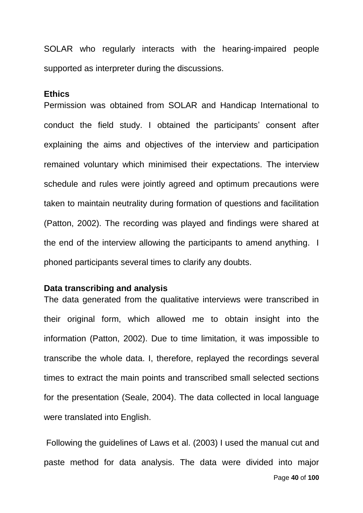SOLAR who regularly interacts with the hearing-impaired people supported as interpreter during the discussions.

#### **Ethics**

Permission was obtained from SOLAR and Handicap International to conduct the field study. I obtained the participants' consent after explaining the aims and objectives of the interview and participation remained voluntary which minimised their expectations. The interview schedule and rules were jointly agreed and optimum precautions were taken to maintain neutrality during formation of questions and facilitation (Patton, 2002). The recording was played and findings were shared at the end of the interview allowing the participants to amend anything. I phoned participants several times to clarify any doubts.

## **Data transcribing and analysis**

The data generated from the qualitative interviews were transcribed in their original form, which allowed me to obtain insight into the information (Patton, 2002). Due to time limitation, it was impossible to transcribe the whole data. I, therefore, replayed the recordings several times to extract the main points and transcribed small selected sections for the presentation (Seale, 2004). The data collected in local language were translated into English.

Page **40** of **100** Following the guidelines of Laws et al. (2003) I used the manual cut and paste method for data analysis. The data were divided into major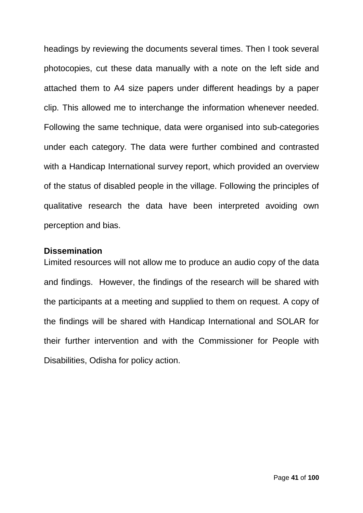headings by reviewing the documents several times. Then I took several photocopies, cut these data manually with a note on the left side and attached them to A4 size papers under different headings by a paper clip. This allowed me to interchange the information whenever needed. Following the same technique, data were organised into sub-categories under each category. The data were further combined and contrasted with a Handicap International survey report, which provided an overview of the status of disabled people in the village. Following the principles of qualitative research the data have been interpreted avoiding own perception and bias.

## **Dissemination**

Limited resources will not allow me to produce an audio copy of the data and findings. However, the findings of the research will be shared with the participants at a meeting and supplied to them on request. A copy of the findings will be shared with Handicap International and SOLAR for their further intervention and with the Commissioner for People with Disabilities, Odisha for policy action.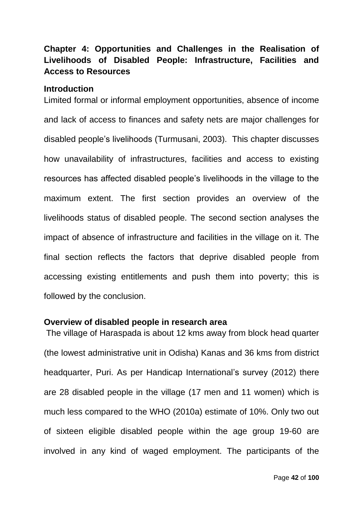## **Chapter 4: Opportunities and Challenges in the Realisation of Livelihoods of Disabled People: Infrastructure, Facilities and Access to Resources**

#### **Introduction**

Limited formal or informal employment opportunities, absence of income and lack of access to finances and safety nets are major challenges for disabled people's livelihoods (Turmusani, 2003). This chapter discusses how unavailability of infrastructures, facilities and access to existing resources has affected disabled people's livelihoods in the village to the maximum extent. The first section provides an overview of the livelihoods status of disabled people. The second section analyses the impact of absence of infrastructure and facilities in the village on it. The final section reflects the factors that deprive disabled people from accessing existing entitlements and push them into poverty; this is followed by the conclusion.

#### **Overview of disabled people in research area**

The village of Haraspada is about 12 kms away from block head quarter (the lowest administrative unit in Odisha) Kanas and 36 kms from district headquarter, Puri. As per Handicap International's survey (2012) there are 28 disabled people in the village (17 men and 11 women) which is much less compared to the WHO (2010a) estimate of 10%. Only two out of sixteen eligible disabled people within the age group 19-60 are involved in any kind of waged employment. The participants of the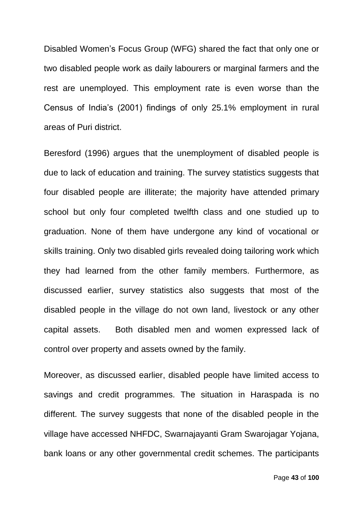Disabled Women's Focus Group (WFG) shared the fact that only one or two disabled people work as daily labourers or marginal farmers and the rest are unemployed. This employment rate is even worse than the Census of India's (2001) findings of only 25.1% employment in rural areas of Puri district.

Beresford (1996) argues that the unemployment of disabled people is due to lack of education and training. The survey statistics suggests that four disabled people are illiterate; the majority have attended primary school but only four completed twelfth class and one studied up to graduation. None of them have undergone any kind of vocational or skills training. Only two disabled girls revealed doing tailoring work which they had learned from the other family members. Furthermore, as discussed earlier, survey statistics also suggests that most of the disabled people in the village do not own land, livestock or any other capital assets. Both disabled men and women expressed lack of control over property and assets owned by the family.

Moreover, as discussed earlier, disabled people have limited access to savings and credit programmes. The situation in Haraspada is no different. The survey suggests that none of the disabled people in the village have accessed NHFDC, Swarnajayanti Gram Swarojagar Yojana, bank loans or any other governmental credit schemes. The participants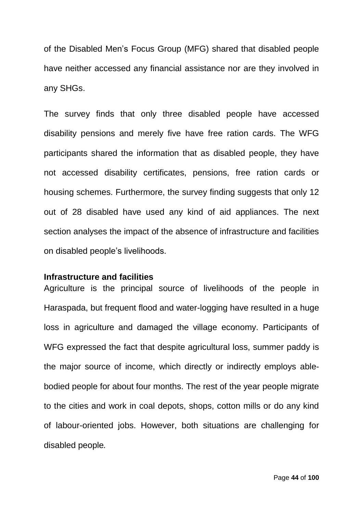of the Disabled Men's Focus Group (MFG) shared that disabled people have neither accessed any financial assistance nor are they involved in any SHGs.

The survey finds that only three disabled people have accessed disability pensions and merely five have free ration cards. The WFG participants shared the information that as disabled people, they have not accessed disability certificates, pensions, free ration cards or housing schemes. Furthermore, the survey finding suggests that only 12 out of 28 disabled have used any kind of aid appliances. The next section analyses the impact of the absence of infrastructure and facilities on disabled people's livelihoods.

## **Infrastructure and facilities**

Agriculture is the principal source of livelihoods of the people in Haraspada, but frequent flood and water-logging have resulted in a huge loss in agriculture and damaged the village economy. Participants of WFG expressed the fact that despite agricultural loss, summer paddy is the major source of income, which directly or indirectly employs ablebodied people for about four months. The rest of the year people migrate to the cities and work in coal depots, shops, cotton mills or do any kind of labour-oriented jobs. However, both situations are challenging for disabled people*.*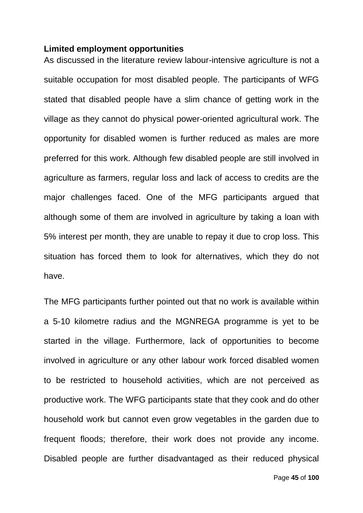#### **Limited employment opportunities**

As discussed in the literature review labour-intensive agriculture is not a suitable occupation for most disabled people. The participants of WFG stated that disabled people have a slim chance of getting work in the village as they cannot do physical power-oriented agricultural work. The opportunity for disabled women is further reduced as males are more preferred for this work. Although few disabled people are still involved in agriculture as farmers, regular loss and lack of access to credits are the major challenges faced. One of the MFG participants argued that although some of them are involved in agriculture by taking a loan with 5% interest per month, they are unable to repay it due to crop loss. This situation has forced them to look for alternatives, which they do not have.

The MFG participants further pointed out that no work is available within a 5-10 kilometre radius and the MGNREGA programme is yet to be started in the village. Furthermore, lack of opportunities to become involved in agriculture or any other labour work forced disabled women to be restricted to household activities, which are not perceived as productive work. The WFG participants state that they cook and do other household work but cannot even grow vegetables in the garden due to frequent floods; therefore, their work does not provide any income. Disabled people are further disadvantaged as their reduced physical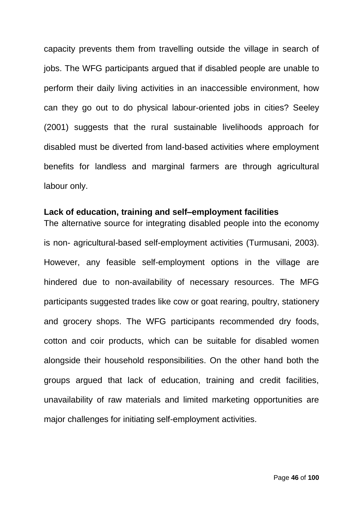capacity prevents them from travelling outside the village in search of jobs. The WFG participants argued that if disabled people are unable to perform their daily living activities in an inaccessible environment, how can they go out to do physical labour-oriented jobs in cities? Seeley (2001) suggests that the rural sustainable livelihoods approach for disabled must be diverted from land-based activities where employment benefits for landless and marginal farmers are through agricultural labour only.

## **Lack of education, training and self–employment facilities**

The alternative source for integrating disabled people into the economy is non- agricultural-based self-employment activities (Turmusani, 2003). However, any feasible self-employment options in the village are hindered due to non-availability of necessary resources. The MFG participants suggested trades like cow or goat rearing, poultry, stationery and grocery shops. The WFG participants recommended dry foods, cotton and coir products, which can be suitable for disabled women alongside their household responsibilities. On the other hand both the groups argued that lack of education, training and credit facilities, unavailability of raw materials and limited marketing opportunities are major challenges for initiating self-employment activities.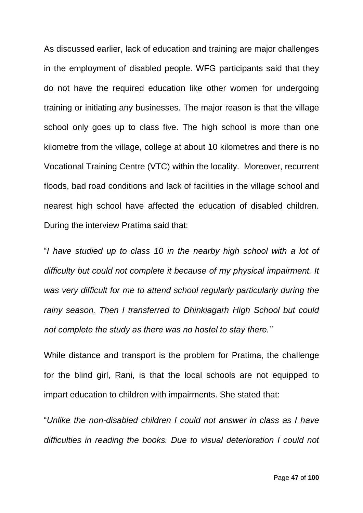As discussed earlier, lack of education and training are major challenges in the employment of disabled people. WFG participants said that they do not have the required education like other women for undergoing training or initiating any businesses. The major reason is that the village school only goes up to class five. The high school is more than one kilometre from the village, college at about 10 kilometres and there is no Vocational Training Centre (VTC) within the locality. Moreover, recurrent floods, bad road conditions and lack of facilities in the village school and nearest high school have affected the education of disabled children. During the interview Pratima said that:

"*I have studied up to class 10 in the nearby high school with a lot of difficulty but could not complete it because of my physical impairment. It was very difficult for me to attend school regularly particularly during the rainy season. Then I transferred to Dhinkiagarh High School but could not complete the study as there was no hostel to stay there."*

While distance and transport is the problem for Pratima, the challenge for the blind girl, Rani, is that the local schools are not equipped to impart education to children with impairments. She stated that:

"*Unlike the non-disabled children I could not answer in class as I have difficulties in reading the books. Due to visual deterioration I could not*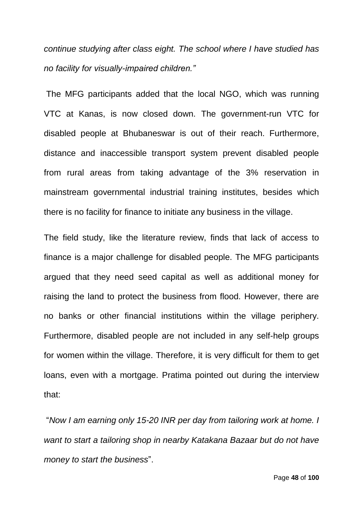*continue studying after class eight. The school where I have studied has no facility for visually-impaired children."*

The MFG participants added that the local NGO, which was running VTC at Kanas, is now closed down. The government-run VTC for disabled people at Bhubaneswar is out of their reach. Furthermore, distance and inaccessible transport system prevent disabled people from rural areas from taking advantage of the 3% reservation in mainstream governmental industrial training institutes, besides which there is no facility for finance to initiate any business in the village.

The field study, like the literature review, finds that lack of access to finance is a major challenge for disabled people. The MFG participants argued that they need seed capital as well as additional money for raising the land to protect the business from flood. However, there are no banks or other financial institutions within the village periphery. Furthermore, disabled people are not included in any self-help groups for women within the village. Therefore, it is very difficult for them to get loans, even with a mortgage. Pratima pointed out during the interview that:

"*Now I am earning only 15-20 INR per day from tailoring work at home. I want to start a tailoring shop in nearby Katakana Bazaar but do not have money to start the business*".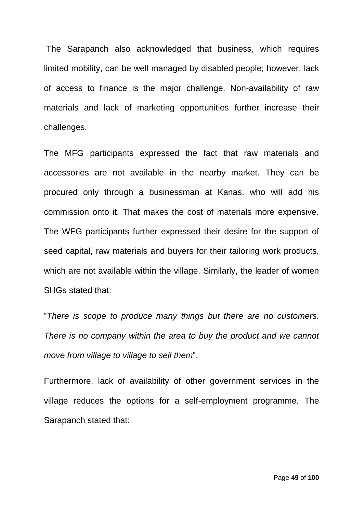The Sarapanch also acknowledged that business, which requires limited mobility, can be well managed by disabled people; however, lack of access to finance is the major challenge. Non-availability of raw materials and lack of marketing opportunities further increase their challenges.

The MFG participants expressed the fact that raw materials and accessories are not available in the nearby market. They can be procured only through a businessman at Kanas, who will add his commission onto it. That makes the cost of materials more expensive. The WFG participants further expressed their desire for the support of seed capital, raw materials and buyers for their tailoring work products, which are not available within the village. Similarly, the leader of women SHGs stated that:

"*There is scope to produce many things but there are no customers. There is no company within the area to buy the product and we cannot move from village to village to sell them*".

Furthermore, lack of availability of other government services in the village reduces the options for a self-employment programme. The Sarapanch stated that: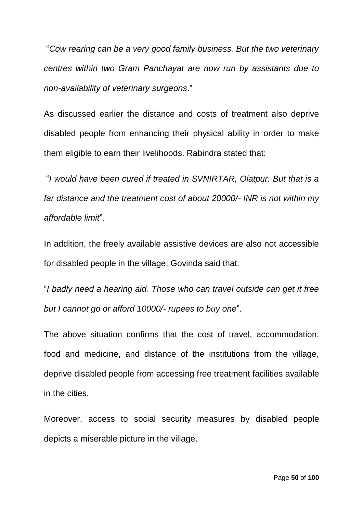"*Cow rearing can be a very good family business. But the two veterinary centres within two Gram Panchayat are now run by assistants due to non-availability of veterinary surgeons*."

As discussed earlier the distance and costs of treatment also deprive disabled people from enhancing their physical ability in order to make them eligible to earn their livelihoods. Rabindra stated that:

"*I would have been cured if treated in SVNIRTAR, Olatpur. But that is a far distance and the treatment cost of about 20000/- INR is not within my affordable limit*".

In addition, the freely available assistive devices are also not accessible for disabled people in the village. Govinda said that:

"*I badly need a hearing aid. Those who can travel outside can get it free but I cannot go or afford 10000/- rupees to buy one*".

The above situation confirms that the cost of travel, accommodation, food and medicine, and distance of the institutions from the village, deprive disabled people from accessing free treatment facilities available in the cities.

Moreover, access to social security measures by disabled people depicts a miserable picture in the village.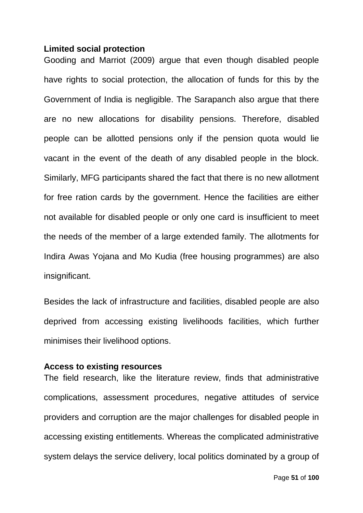## **Limited social protection**

Gooding and Marriot (2009) argue that even though disabled people have rights to social protection, the allocation of funds for this by the Government of India is negligible. The Sarapanch also argue that there are no new allocations for disability pensions. Therefore, disabled people can be allotted pensions only if the pension quota would lie vacant in the event of the death of any disabled people in the block. Similarly, MFG participants shared the fact that there is no new allotment for free ration cards by the government. Hence the facilities are either not available for disabled people or only one card is insufficient to meet the needs of the member of a large extended family. The allotments for Indira Awas Yojana and Mo Kudia (free housing programmes) are also insignificant.

Besides the lack of infrastructure and facilities, disabled people are also deprived from accessing existing livelihoods facilities, which further minimises their livelihood options.

#### **Access to existing resources**

The field research, like the literature review, finds that administrative complications, assessment procedures, negative attitudes of service providers and corruption are the major challenges for disabled people in accessing existing entitlements. Whereas the complicated administrative system delays the service delivery, local politics dominated by a group of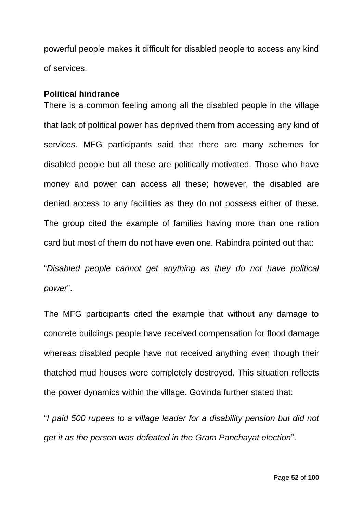powerful people makes it difficult for disabled people to access any kind of services.

#### **Political hindrance**

There is a common feeling among all the disabled people in the village that lack of political power has deprived them from accessing any kind of services. MFG participants said that there are many schemes for disabled people but all these are politically motivated. Those who have money and power can access all these; however, the disabled are denied access to any facilities as they do not possess either of these. The group cited the example of families having more than one ration card but most of them do not have even one. Rabindra pointed out that:

"*Disabled people cannot get anything as they do not have political power*".

The MFG participants cited the example that without any damage to concrete buildings people have received compensation for flood damage whereas disabled people have not received anything even though their thatched mud houses were completely destroyed. This situation reflects the power dynamics within the village. Govinda further stated that:

"*I paid 500 rupees to a village leader for a disability pension but did not get it as the person was defeated in the Gram Panchayat election*".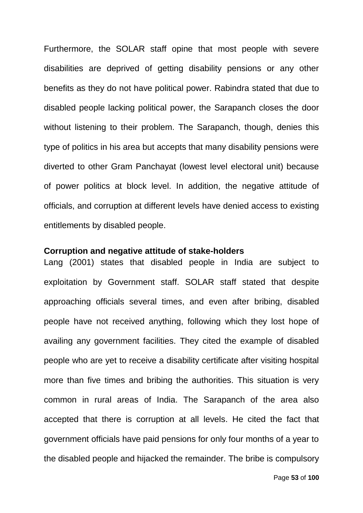Furthermore, the SOLAR staff opine that most people with severe disabilities are deprived of getting disability pensions or any other benefits as they do not have political power. Rabindra stated that due to disabled people lacking political power, the Sarapanch closes the door without listening to their problem. The Sarapanch, though, denies this type of politics in his area but accepts that many disability pensions were diverted to other Gram Panchayat (lowest level electoral unit) because of power politics at block level. In addition, the negative attitude of officials, and corruption at different levels have denied access to existing entitlements by disabled people.

## **Corruption and negative attitude of stake-holders**

Lang (2001) states that disabled people in India are subject to exploitation by Government staff. SOLAR staff stated that despite approaching officials several times, and even after bribing, disabled people have not received anything, following which they lost hope of availing any government facilities. They cited the example of disabled people who are yet to receive a disability certificate after visiting hospital more than five times and bribing the authorities. This situation is very common in rural areas of India. The Sarapanch of the area also accepted that there is corruption at all levels. He cited the fact that government officials have paid pensions for only four months of a year to the disabled people and hijacked the remainder. The bribe is compulsory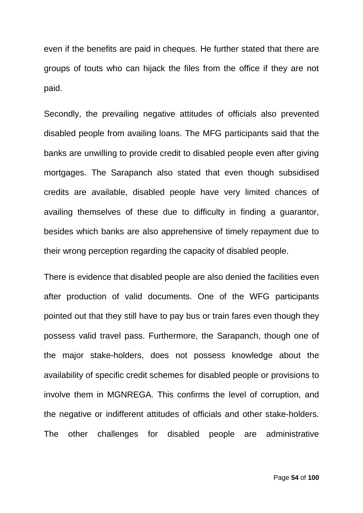even if the benefits are paid in cheques. He further stated that there are groups of touts who can hijack the files from the office if they are not paid.

Secondly, the prevailing negative attitudes of officials also prevented disabled people from availing loans. The MFG participants said that the banks are unwilling to provide credit to disabled people even after giving mortgages. The Sarapanch also stated that even though subsidised credits are available, disabled people have very limited chances of availing themselves of these due to difficulty in finding a guarantor, besides which banks are also apprehensive of timely repayment due to their wrong perception regarding the capacity of disabled people.

There is evidence that disabled people are also denied the facilities even after production of valid documents. One of the WFG participants pointed out that they still have to pay bus or train fares even though they possess valid travel pass. Furthermore, the Sarapanch, though one of the major stake-holders, does not possess knowledge about the availability of specific credit schemes for disabled people or provisions to involve them in MGNREGA. This confirms the level of corruption, and the negative or indifferent attitudes of officials and other stake-holders. The other challenges for disabled people are administrative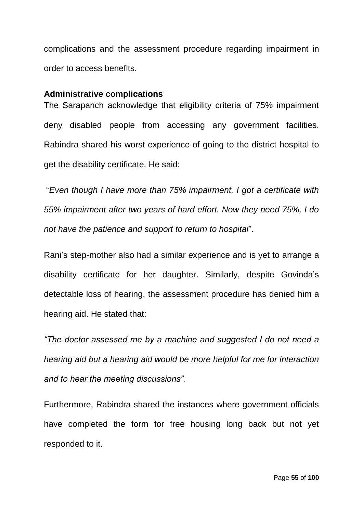complications and the assessment procedure regarding impairment in order to access benefits.

## **Administrative complications**

The Sarapanch acknowledge that eligibility criteria of 75% impairment deny disabled people from accessing any government facilities. Rabindra shared his worst experience of going to the district hospital to get the disability certificate. He said:

"*Even though I have more than 75% impairment, I got a certificate with 55% impairment after two years of hard effort. Now they need 75%, I do not have the patience and support to return to hospital*".

Rani's step-mother also had a similar experience and is yet to arrange a disability certificate for her daughter. Similarly, despite Govinda's detectable loss of hearing, the assessment procedure has denied him a hearing aid. He stated that:

*"The doctor assessed me by a machine and suggested I do not need a hearing aid but a hearing aid would be more helpful for me for interaction and to hear the meeting discussions".*

Furthermore, Rabindra shared the instances where government officials have completed the form for free housing long back but not yet responded to it.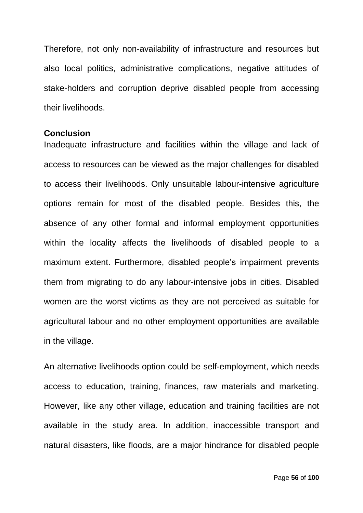Therefore, not only non-availability of infrastructure and resources but also local politics, administrative complications, negative attitudes of stake-holders and corruption deprive disabled people from accessing their livelihoods.

#### **Conclusion**

Inadequate infrastructure and facilities within the village and lack of access to resources can be viewed as the major challenges for disabled to access their livelihoods. Only unsuitable labour-intensive agriculture options remain for most of the disabled people. Besides this, the absence of any other formal and informal employment opportunities within the locality affects the livelihoods of disabled people to a maximum extent. Furthermore, disabled people's impairment prevents them from migrating to do any labour-intensive jobs in cities. Disabled women are the worst victims as they are not perceived as suitable for agricultural labour and no other employment opportunities are available in the village.

An alternative livelihoods option could be self-employment, which needs access to education, training, finances, raw materials and marketing. However, like any other village, education and training facilities are not available in the study area. In addition, inaccessible transport and natural disasters, like floods, are a major hindrance for disabled people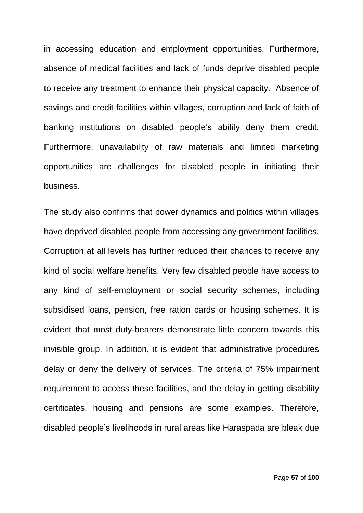in accessing education and employment opportunities. Furthermore, absence of medical facilities and lack of funds deprive disabled people to receive any treatment to enhance their physical capacity. Absence of savings and credit facilities within villages, corruption and lack of faith of banking institutions on disabled people's ability deny them credit. Furthermore, unavailability of raw materials and limited marketing opportunities are challenges for disabled people in initiating their business.

The study also confirms that power dynamics and politics within villages have deprived disabled people from accessing any government facilities. Corruption at all levels has further reduced their chances to receive any kind of social welfare benefits. Very few disabled people have access to any kind of self-employment or social security schemes, including subsidised loans, pension, free ration cards or housing schemes. It is evident that most duty-bearers demonstrate little concern towards this invisible group. In addition, it is evident that administrative procedures delay or deny the delivery of services. The criteria of 75% impairment requirement to access these facilities, and the delay in getting disability certificates, housing and pensions are some examples. Therefore, disabled people's livelihoods in rural areas like Haraspada are bleak due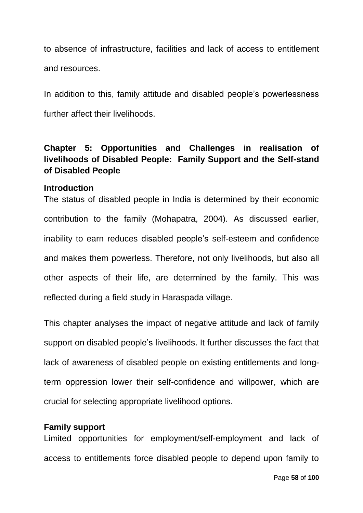to absence of infrastructure, facilities and lack of access to entitlement and resources.

In addition to this, family attitude and disabled people's powerlessness further affect their livelihoods.

# **Chapter 5: Opportunities and Challenges in realisation of livelihoods of Disabled People: Family Support and the Self-stand of Disabled People**

## **Introduction**

The status of disabled people in India is determined by their economic contribution to the family (Mohapatra, 2004). As discussed earlier, inability to earn reduces disabled people's self-esteem and confidence and makes them powerless. Therefore, not only livelihoods, but also all other aspects of their life, are determined by the family. This was reflected during a field study in Haraspada village.

This chapter analyses the impact of negative attitude and lack of family support on disabled people's livelihoods. It further discusses the fact that lack of awareness of disabled people on existing entitlements and longterm oppression lower their self-confidence and willpower, which are crucial for selecting appropriate livelihood options.

## **Family support**

Limited opportunities for employment/self-employment and lack of access to entitlements force disabled people to depend upon family to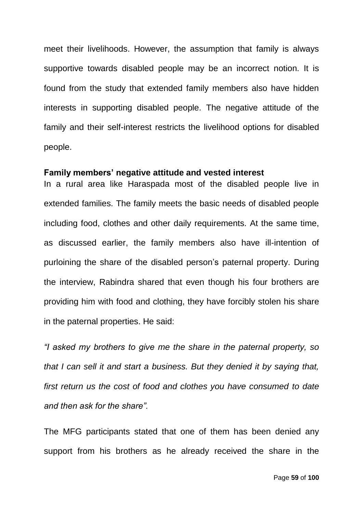meet their livelihoods. However, the assumption that family is always supportive towards disabled people may be an incorrect notion. It is found from the study that extended family members also have hidden interests in supporting disabled people. The negative attitude of the family and their self-interest restricts the livelihood options for disabled people.

#### **Family members' negative attitude and vested interest**

In a rural area like Haraspada most of the disabled people live in extended families. The family meets the basic needs of disabled people including food, clothes and other daily requirements. At the same time, as discussed earlier, the family members also have ill-intention of purloining the share of the disabled person's paternal property. During the interview, Rabindra shared that even though his four brothers are providing him with food and clothing, they have forcibly stolen his share in the paternal properties. He said:

*"I asked my brothers to give me the share in the paternal property, so that I can sell it and start a business. But they denied it by saying that, first return us the cost of food and clothes you have consumed to date and then ask for the share".*

The MFG participants stated that one of them has been denied any support from his brothers as he already received the share in the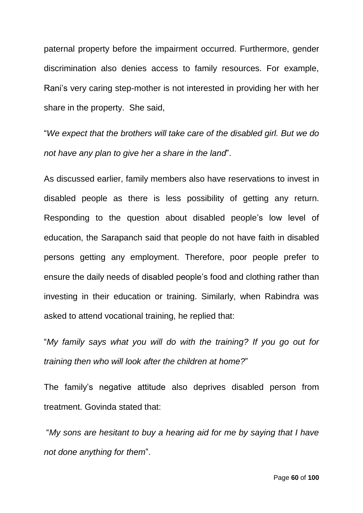paternal property before the impairment occurred. Furthermore, gender discrimination also denies access to family resources. For example, Rani's very caring step-mother is not interested in providing her with her share in the property. She said,

"*We expect that the brothers will take care of the disabled girl. But we do not have any plan to give her a share in the land*".

As discussed earlier, family members also have reservations to invest in disabled people as there is less possibility of getting any return. Responding to the question about disabled people's low level of education, the Sarapanch said that people do not have faith in disabled persons getting any employment. Therefore, poor people prefer to ensure the daily needs of disabled people's food and clothing rather than investing in their education or training. Similarly, when Rabindra was asked to attend vocational training, he replied that:

"*My family says what you will do with the training? If you go out for training then who will look after the children at home?*"

The family's negative attitude also deprives disabled person from treatment. Govinda stated that:

"*My sons are hesitant to buy a hearing aid for me by saying that I have not done anything for them*".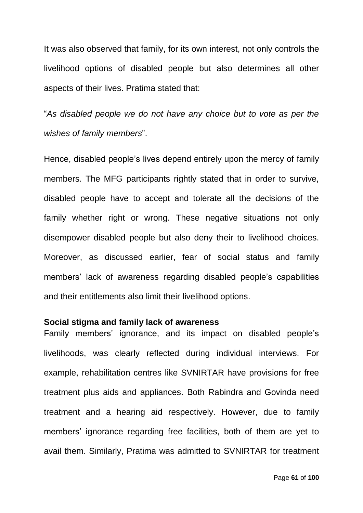It was also observed that family, for its own interest, not only controls the livelihood options of disabled people but also determines all other aspects of their lives. Pratima stated that:

"*As disabled people we do not have any choice but to vote as per the wishes of family members*".

Hence, disabled people's lives depend entirely upon the mercy of family members. The MFG participants rightly stated that in order to survive, disabled people have to accept and tolerate all the decisions of the family whether right or wrong. These negative situations not only disempower disabled people but also deny their to livelihood choices. Moreover, as discussed earlier, fear of social status and family members' lack of awareness regarding disabled people's capabilities and their entitlements also limit their livelihood options.

#### **Social stigma and family lack of awareness**

Family members' ignorance, and its impact on disabled people's livelihoods, was clearly reflected during individual interviews. For example, rehabilitation centres like SVNIRTAR have provisions for free treatment plus aids and appliances. Both Rabindra and Govinda need treatment and a hearing aid respectively. However, due to family members' ignorance regarding free facilities, both of them are yet to avail them. Similarly, Pratima was admitted to SVNIRTAR for treatment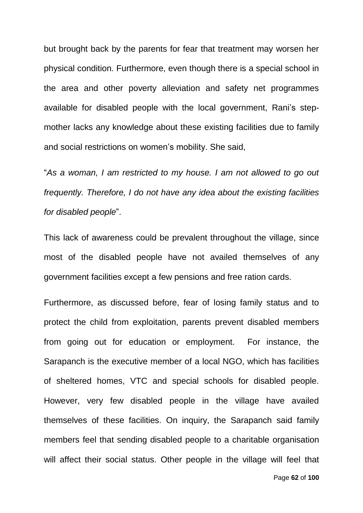but brought back by the parents for fear that treatment may worsen her physical condition. Furthermore, even though there is a special school in the area and other poverty alleviation and safety net programmes available for disabled people with the local government, Rani's stepmother lacks any knowledge about these existing facilities due to family and social restrictions on women's mobility. She said,

"*As a woman, I am restricted to my house. I am not allowed to go out frequently. Therefore, I do not have any idea about the existing facilities for disabled people*".

This lack of awareness could be prevalent throughout the village, since most of the disabled people have not availed themselves of any government facilities except a few pensions and free ration cards.

Furthermore, as discussed before, fear of losing family status and to protect the child from exploitation, parents prevent disabled members from going out for education or employment. For instance, the Sarapanch is the executive member of a local NGO, which has facilities of sheltered homes, VTC and special schools for disabled people. However, very few disabled people in the village have availed themselves of these facilities. On inquiry, the Sarapanch said family members feel that sending disabled people to a charitable organisation will affect their social status. Other people in the village will feel that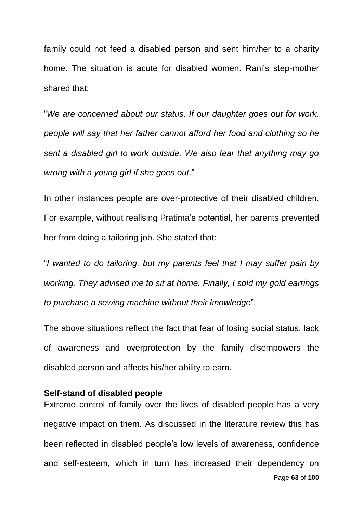family could not feed a disabled person and sent him/her to a charity home. The situation is acute for disabled women. Rani's step-mother shared that:

"*We are concerned about our status. If our daughter goes out for work, people will say that her father cannot afford her food and clothing so he sent a disabled girl to work outside. We also fear that anything may go wrong with a young girl if she goes out*."

In other instances people are over-protective of their disabled children. For example, without realising Pratima's potential, her parents prevented her from doing a tailoring job. She stated that:

"*I wanted to do tailoring, but my parents feel that I may suffer pain by working. They advised me to sit at home. Finally, I sold my gold earrings to purchase a sewing machine without their knowledge*".

The above situations reflect the fact that fear of losing social status, lack of awareness and overprotection by the family disempowers the disabled person and affects his/her ability to earn.

## **Self-stand of disabled people**

Page **63** of **100** Extreme control of family over the lives of disabled people has a very negative impact on them. As discussed in the literature review this has been reflected in disabled people's low levels of awareness, confidence and self-esteem, which in turn has increased their dependency on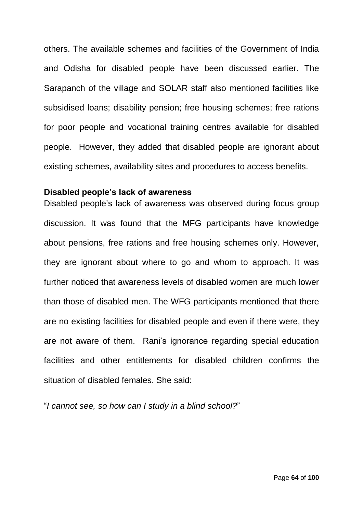others. The available schemes and facilities of the Government of India and Odisha for disabled people have been discussed earlier. The Sarapanch of the village and SOLAR staff also mentioned facilities like subsidised loans; disability pension; free housing schemes; free rations for poor people and vocational training centres available for disabled people. However, they added that disabled people are ignorant about existing schemes, availability sites and procedures to access benefits.

#### **Disabled people's lack of awareness**

Disabled people's lack of awareness was observed during focus group discussion. It was found that the MFG participants have knowledge about pensions, free rations and free housing schemes only. However, they are ignorant about where to go and whom to approach. It was further noticed that awareness levels of disabled women are much lower than those of disabled men. The WFG participants mentioned that there are no existing facilities for disabled people and even if there were, they are not aware of them. Rani's ignorance regarding special education facilities and other entitlements for disabled children confirms the situation of disabled females. She said:

"*I cannot see, so how can I study in a blind school?*"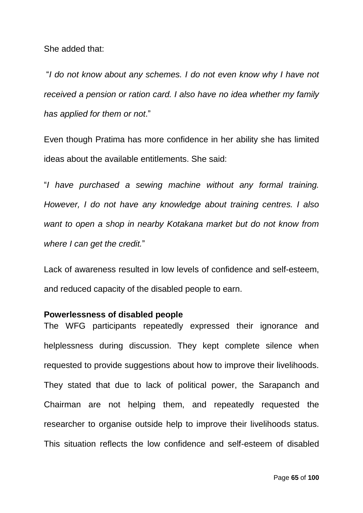She added that:

"*I do not know about any schemes. I do not even know why I have not received a pension or ration card. I also have no idea whether my family has applied for them or not*."

Even though Pratima has more confidence in her ability she has limited ideas about the available entitlements. She said:

"*I have purchased a sewing machine without any formal training. However, I do not have any knowledge about training centres. I also want to open a shop in nearby Kotakana market but do not know from where I can get the credit.*"

Lack of awareness resulted in low levels of confidence and self-esteem, and reduced capacity of the disabled people to earn.

## **Powerlessness of disabled people**

The WFG participants repeatedly expressed their ignorance and helplessness during discussion. They kept complete silence when requested to provide suggestions about how to improve their livelihoods. They stated that due to lack of political power, the Sarapanch and Chairman are not helping them, and repeatedly requested the researcher to organise outside help to improve their livelihoods status. This situation reflects the low confidence and self-esteem of disabled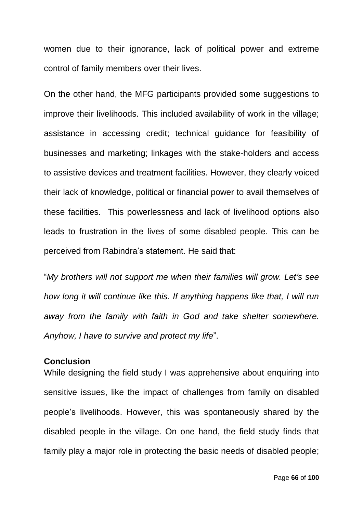women due to their ignorance, lack of political power and extreme control of family members over their lives.

On the other hand, the MFG participants provided some suggestions to improve their livelihoods. This included availability of work in the village; assistance in accessing credit; technical guidance for feasibility of businesses and marketing; linkages with the stake-holders and access to assistive devices and treatment facilities. However, they clearly voiced their lack of knowledge, political or financial power to avail themselves of these facilities. This powerlessness and lack of livelihood options also leads to frustration in the lives of some disabled people. This can be perceived from Rabindra's statement. He said that:

"*My brothers will not support me when their families will grow. Let's see how long it will continue like this. If anything happens like that, I will run away from the family with faith in God and take shelter somewhere. Anyhow, I have to survive and protect my life*".

## **Conclusion**

While designing the field study I was apprehensive about enquiring into sensitive issues, like the impact of challenges from family on disabled people's livelihoods. However, this was spontaneously shared by the disabled people in the village. On one hand, the field study finds that family play a major role in protecting the basic needs of disabled people;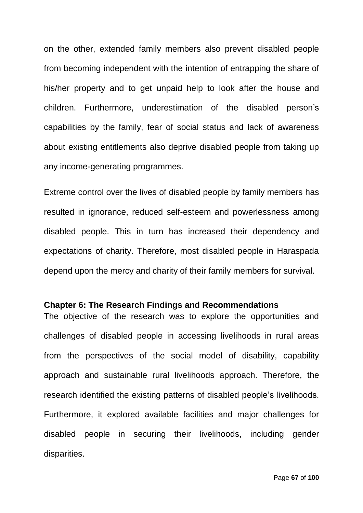on the other, extended family members also prevent disabled people from becoming independent with the intention of entrapping the share of his/her property and to get unpaid help to look after the house and children. Furthermore, underestimation of the disabled person's capabilities by the family, fear of social status and lack of awareness about existing entitlements also deprive disabled people from taking up any income-generating programmes.

Extreme control over the lives of disabled people by family members has resulted in ignorance, reduced self-esteem and powerlessness among disabled people. This in turn has increased their dependency and expectations of charity. Therefore, most disabled people in Haraspada depend upon the mercy and charity of their family members for survival.

## **Chapter 6: The Research Findings and Recommendations**

The objective of the research was to explore the opportunities and challenges of disabled people in accessing livelihoods in rural areas from the perspectives of the social model of disability, capability approach and sustainable rural livelihoods approach. Therefore, the research identified the existing patterns of disabled people's livelihoods. Furthermore, it explored available facilities and major challenges for disabled people in securing their livelihoods, including gender disparities.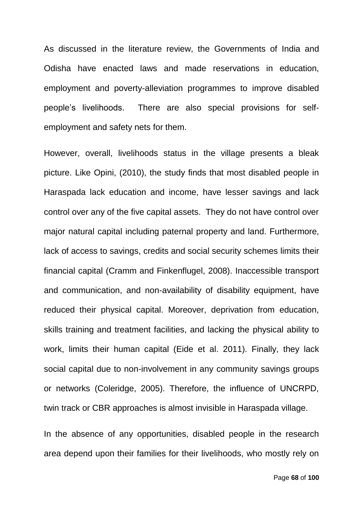As discussed in the literature review, the Governments of India and Odisha have enacted laws and made reservations in education, employment and poverty-alleviation programmes to improve disabled people's livelihoods. There are also special provisions for selfemployment and safety nets for them.

However, overall, livelihoods status in the village presents a bleak picture. Like Opini, (2010), the study finds that most disabled people in Haraspada lack education and income, have lesser savings and lack control over any of the five capital assets. They do not have control over major natural capital including paternal property and land. Furthermore, lack of access to savings, credits and social security schemes limits their financial capital (Cramm and Finkenflugel, 2008). Inaccessible transport and communication, and non-availability of disability equipment, have reduced their physical capital. Moreover, deprivation from education, skills training and treatment facilities, and lacking the physical ability to work, limits their human capital (Eide et al. 2011). Finally, they lack social capital due to non-involvement in any community savings groups or networks (Coleridge, 2005). Therefore, the influence of UNCRPD, twin track or CBR approaches is almost invisible in Haraspada village.

In the absence of any opportunities, disabled people in the research area depend upon their families for their livelihoods, who mostly rely on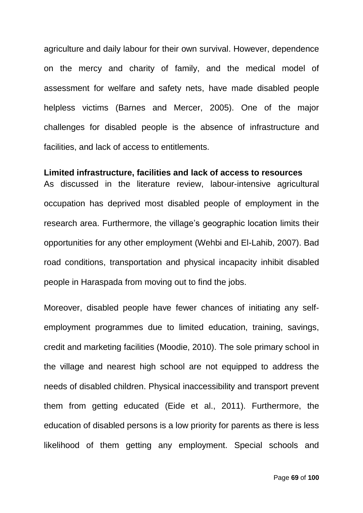agriculture and daily labour for their own survival. However, dependence on the mercy and charity of family, and the medical model of assessment for welfare and safety nets, have made disabled people helpless victims (Barnes and Mercer, 2005). One of the major challenges for disabled people is the absence of infrastructure and facilities, and lack of access to entitlements.

#### **Limited infrastructure, facilities and lack of access to resources**

As discussed in the literature review, labour-intensive agricultural occupation has deprived most disabled people of employment in the research area. Furthermore, the village's geographic location limits their opportunities for any other employment (Wehbi and El-Lahib, 2007). Bad road conditions, transportation and physical incapacity inhibit disabled people in Haraspada from moving out to find the jobs.

Moreover, disabled people have fewer chances of initiating any selfemployment programmes due to limited education, training, savings, credit and marketing facilities (Moodie, 2010). The sole primary school in the village and nearest high school are not equipped to address the needs of disabled children. Physical inaccessibility and transport prevent them from getting educated (Eide et al., 2011). Furthermore, the education of disabled persons is a low priority for parents as there is less likelihood of them getting any employment. Special schools and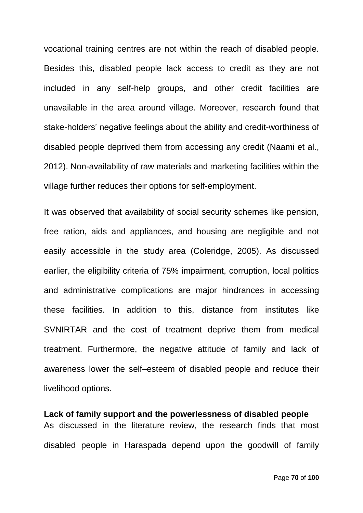vocational training centres are not within the reach of disabled people. Besides this, disabled people lack access to credit as they are not included in any self-help groups, and other credit facilities are unavailable in the area around village. Moreover, research found that stake-holders' negative feelings about the ability and credit-worthiness of disabled people deprived them from accessing any credit (Naami et al., 2012). Non-availability of raw materials and marketing facilities within the village further reduces their options for self-employment.

It was observed that availability of social security schemes like pension, free ration, aids and appliances, and housing are negligible and not easily accessible in the study area (Coleridge, 2005). As discussed earlier, the eligibility criteria of 75% impairment, corruption, local politics and administrative complications are major hindrances in accessing these facilities. In addition to this, distance from institutes like SVNIRTAR and the cost of treatment deprive them from medical treatment. Furthermore, the negative attitude of family and lack of awareness lower the self–esteem of disabled people and reduce their livelihood options.

**Lack of family support and the powerlessness of disabled people**  As discussed in the literature review, the research finds that most disabled people in Haraspada depend upon the goodwill of family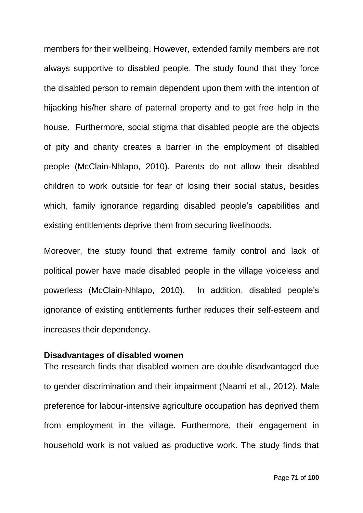members for their wellbeing. However, extended family members are not always supportive to disabled people. The study found that they force the disabled person to remain dependent upon them with the intention of hijacking his/her share of paternal property and to get free help in the house. Furthermore, social stigma that disabled people are the objects of pity and charity creates a barrier in the employment of disabled people (McClain-Nhlapo, 2010). Parents do not allow their disabled children to work outside for fear of losing their social status, besides which, family ignorance regarding disabled people's capabilities and existing entitlements deprive them from securing livelihoods.

Moreover, the study found that extreme family control and lack of political power have made disabled people in the village voiceless and powerless (McClain-Nhlapo, 2010). In addition, disabled people's ignorance of existing entitlements further reduces their self-esteem and increases their dependency.

## **Disadvantages of disabled women**

The research finds that disabled women are double disadvantaged due to gender discrimination and their impairment (Naami et al., 2012). Male preference for labour-intensive agriculture occupation has deprived them from employment in the village. Furthermore, their engagement in household work is not valued as productive work. The study finds that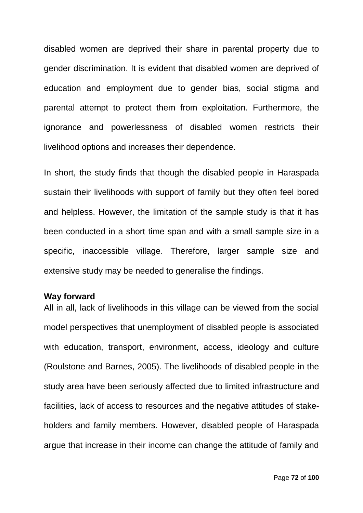disabled women are deprived their share in parental property due to gender discrimination. It is evident that disabled women are deprived of education and employment due to gender bias, social stigma and parental attempt to protect them from exploitation. Furthermore, the ignorance and powerlessness of disabled women restricts their livelihood options and increases their dependence.

In short, the study finds that though the disabled people in Haraspada sustain their livelihoods with support of family but they often feel bored and helpless. However, the limitation of the sample study is that it has been conducted in a short time span and with a small sample size in a specific, inaccessible village. Therefore, larger sample size and extensive study may be needed to generalise the findings.

## **Way forward**

All in all, lack of livelihoods in this village can be viewed from the social model perspectives that unemployment of disabled people is associated with education, transport, environment, access, ideology and culture (Roulstone and Barnes, 2005). The livelihoods of disabled people in the study area have been seriously affected due to limited infrastructure and facilities, lack of access to resources and the negative attitudes of stakeholders and family members. However, disabled people of Haraspada argue that increase in their income can change the attitude of family and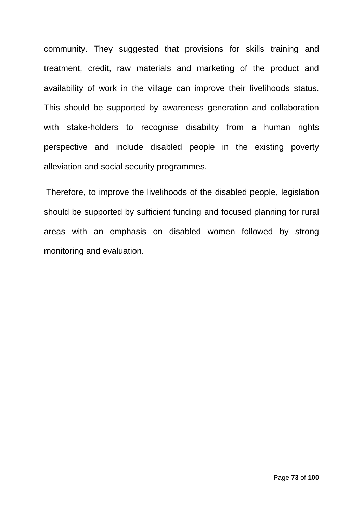community. They suggested that provisions for skills training and treatment, credit, raw materials and marketing of the product and availability of work in the village can improve their livelihoods status. This should be supported by awareness generation and collaboration with stake-holders to recognise disability from a human rights perspective and include disabled people in the existing poverty alleviation and social security programmes.

Therefore, to improve the livelihoods of the disabled people, legislation should be supported by sufficient funding and focused planning for rural areas with an emphasis on disabled women followed by strong monitoring and evaluation.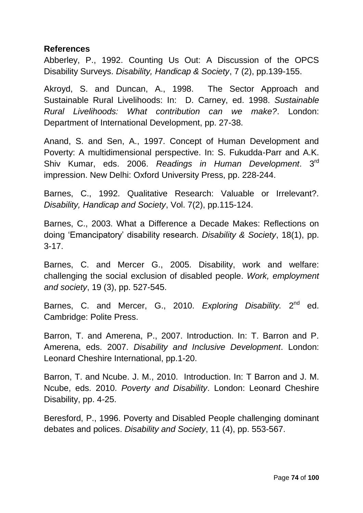### **References**

Abberley, P., 1992. Counting Us Out: A Discussion of the OPCS Disability Surveys. *Disability, Handicap & Society*, 7 (2), pp.139-155.

Akroyd, S. and Duncan, A., 1998. The Sector Approach and Sustainable Rural Livelihoods: In: D. Carney, ed. 1998. *Sustainable Rural Livelihoods: What contribution can we make?*. London: Department of International Development, pp. 27-38.

Anand, S. and Sen, A., 1997. Concept of Human Development and Poverty: A multidimensional perspective. In: S. Fukudda-Parr and A.K. Shiv Kumar, eds. 2006. *Readings in Human Development*. 3rd impression. New Delhi: Oxford University Press, pp. 228-244.

Barnes, C., 1992. Qualitative Research: Valuable or Irrelevant?. *Disability, Handicap and Society*, Vol. 7(2), pp.115-124.

Barnes, C., 2003. What a Difference a Decade Makes: Reflections on doing 'Emancipatory' disability research. *Disability & Society*, 18(1), pp. 3-17.

Barnes, C. and Mercer G., 2005. Disability, work and welfare: challenging the social exclusion of disabled people. *Work, employment and society*, 19 (3), pp. 527-545.

Barnes, C. and Mercer, G., 2010. Exploring Disability. 2<sup>nd</sup> ed. Cambridge: Polite Press.

Barron, T. and Amerena, P., 2007. Introduction. In: T. Barron and P. Amerena, eds. 2007. *Disability and Inclusive Development*. London: Leonard Cheshire International, pp.1-20.

Barron, T. and Ncube. J. M., 2010. Introduction. In: T Barron and J. M. Ncube, eds. 2010. *Poverty and Disability*. London: Leonard Cheshire Disability, pp. 4-25.

Beresford, P., 1996. Poverty and Disabled People challenging dominant debates and polices. *Disability and Society*, 11 (4), pp. 553-567.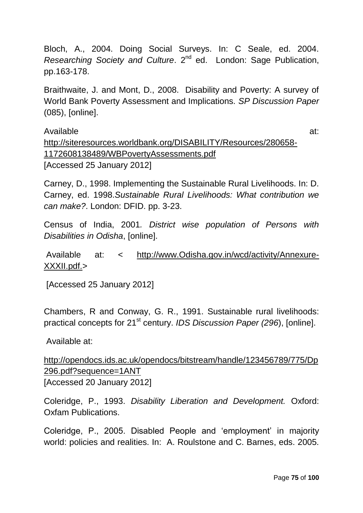Bloch, A., 2004. Doing Social Surveys. In: C Seale, ed. 2004. *Researching Society and Culture.* 2<sup>nd</sup> ed. London: Sage Publication, pp.163-178.

Braithwaite, J. and Mont, D., 2008. Disability and Poverty: A survey of World Bank Poverty Assessment and Implications. *SP Discussion Paper* (085), [online].

Available at: [http://siteresources.worldbank.org/DISABILITY/Resources/280658-](http://siteresources.worldbank.org/DISABILITY/Resources/280658-1172608138489/WBPovertyAssessments.pdf) [1172608138489/WBPovertyAssessments.pdf](http://siteresources.worldbank.org/DISABILITY/Resources/280658-1172608138489/WBPovertyAssessments.pdf)  [Accessed 25 January 2012]

Carney, D., 1998. Implementing the Sustainable Rural Livelihoods. In: D. Carney, ed. 1998.*Sustainable Rural Livelihoods: What contribution we can make?*. London: DFID. pp. 3-23.

Census of India, 2001*. District wise population of Persons with Disabilities in Odisha*, [online].

Available at: < [http://www.Odisha.gov.in/wcd/activity/Annexure-](http://www.orissa.gov.in/wcd/activity/Annexure-XXXII.pdf.)[XXXII.pdf.>](http://www.orissa.gov.in/wcd/activity/Annexure-XXXII.pdf.)

[Accessed 25 January 2012]

Chambers, R and Conway, G. R., 1991. Sustainable rural livelihoods: practical concepts for 21<sup>st</sup> century. *IDS Discussion Paper (296*), [online].

Available at:

[http://opendocs.ids.ac.uk/opendocs/bitstream/handle/123456789/775/Dp](http://opendocs.ids.ac.uk/opendocs/bitstream/handle/123456789/775/Dp296.pdf?sequence=1ANT) [296.pdf?sequence=1ANT](http://opendocs.ids.ac.uk/opendocs/bitstream/handle/123456789/775/Dp296.pdf?sequence=1ANT) [Accessed 20 January 2012]

Coleridge, P., 1993. *Disability Liberation and Development.* Oxford: Oxfam Publications.

Coleridge, P., 2005. Disabled People and 'employment' in majority world: policies and realities. In: A. Roulstone and C. Barnes, eds. 2005.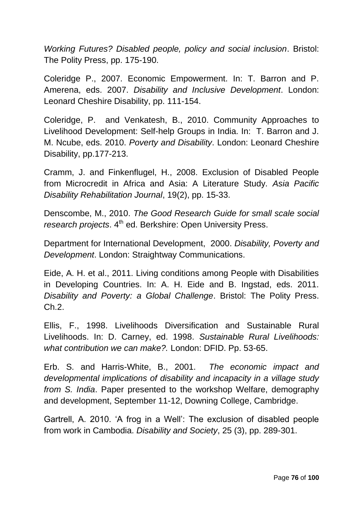*Working Futures? Disabled people, policy and social inclusion*. Bristol: The Polity Press, pp. 175-190.

Coleridge P., 2007. Economic Empowerment. In: T. Barron and P. Amerena, eds. 2007. *Disability and Inclusive Development*. London: Leonard Cheshire Disability, pp. 111-154.

Coleridge, P. and Venkatesh, B., 2010. Community Approaches to Livelihood Development: Self-help Groups in India. In: T. Barron and J. M. Ncube, eds. 2010. *Poverty and Disability*. London: Leonard Cheshire Disability, pp.177-213.

Cramm, J. and Finkenflugel, H., 2008. Exclusion of Disabled People from Microcredit in Africa and Asia: A Literature Study. *Asia Pacific Disability Rehabilitation Journal*, 19(2), pp. 15-33.

Denscombe, M., 2010. *The Good Research Guide for small scale social research projects.* 4<sup>th</sup> ed. Berkshire: Open University Press.

Department for International Development, 2000. *Disability, Poverty and Development*. London: Straightway Communications.

Eide, A. H. et al., 2011. Living conditions among People with Disabilities in Developing Countries. In: A. H. Eide and B. Ingstad, eds. 2011. *Disability and Poverty: a Global Challenge*. Bristol: The Polity Press. Ch.2.

Ellis, F., 1998. Livelihoods Diversification and Sustainable Rural Livelihoods. In: D. Carney, ed. 1998. *Sustainable Rural Livelihoods: what contribution we can make?.* London: DFID. Pp. 53-65.

Erb. S. and Harris-White, B., 2001. *The economic impact and developmental implications of disability and incapacity in a village study from S. India*. Paper presented to the workshop Welfare, demography and development, September 11-12, Downing College, Cambridge.

Gartrell, A. 2010. 'A frog in a Well': The exclusion of disabled people from work in Cambodia. *Disability and Society*, 25 (3), pp. 289-301.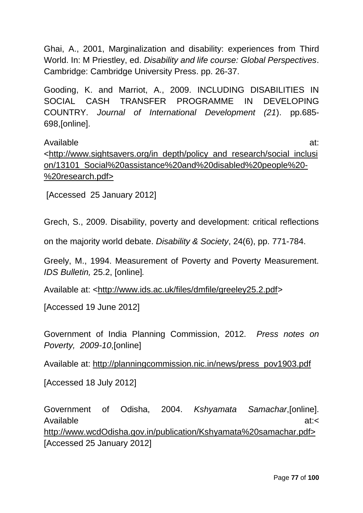Ghai, A., 2001, Marginalization and disability: experiences from Third World. In: M Priestley, ed. *Disability and life course: Global Perspectives*. Cambridge: Cambridge University Press. pp. 26-37.

Gooding, K. and Marriot, A., 2009. INCLUDING DISABILITIES IN SOCIAL CASH TRANSFER PROGRAMME IN DEVELOPING COUNTRY. *Journal of International Development (21*). pp.685- 698,[online].

Available at: [<http://www.sightsavers.org/in\\_depth/policy\\_and\\_research/social\\_inclusi](http://www.sightsavers.org/in_depth/policy_and_research/social_inclusion/13101_Social%20assistance%20and%20disabled%20people%20-%20research.pdf) [on/13101\\_Social%20assistance%20and%20disabled%20people%20-](http://www.sightsavers.org/in_depth/policy_and_research/social_inclusion/13101_Social%20assistance%20and%20disabled%20people%20-%20research.pdf) [%20research.pdf>](http://www.sightsavers.org/in_depth/policy_and_research/social_inclusion/13101_Social%20assistance%20and%20disabled%20people%20-%20research.pdf)

[Accessed 25 January 2012]

Grech, S., 2009. Disability, poverty and development: critical reflections

on the majority world debate. *Disability & Society*, 24(6), pp. 771-784.

Greely, M., 1994. Measurement of Poverty and Poverty Measurement. *IDS Bulletin,* 25.2, [online]*.*

Available at: [<http://www.ids.ac.uk/files/dmfile/greeley25.2.pdf>](http://www.ids.ac.uk/files/dmfile/greeley25.2.pdf)

[Accessed 19 June 2012]

Government of India Planning Commission, 2012. *Press notes on Poverty, 2009-10*,[online]

Available at: [http://planningcommission.nic.in/news/press\\_pov1903.pdf](http://planningcommission.nic.in/news/press_pov1903.pdf)

[Accessed 18 July 2012]

Government of Odisha, 2004. *Kshyamata Samachar*,[online]. Available at:</reduced at:> [http://www.wcdOdisha.gov.in/publication/Kshyamata%20samachar.pdf>](http://www.wcdorissa.gov.in/publication/Kshyamata%20samachar.pdf) [Accessed 25 January 2012]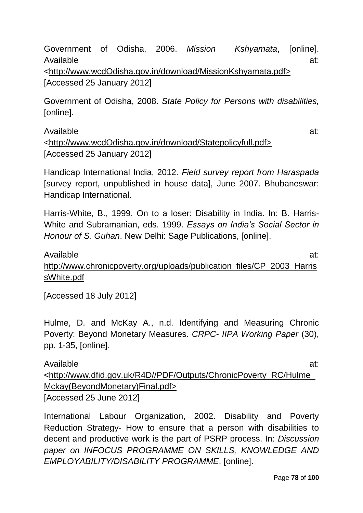Government of Odisha, 2006. *Mission Kshyamata*, [online]. Available at:

[<http://www.wcdOdisha.gov.in/download/MissionKshyamata.pdf>](http://www.wcdorissa.gov.in/download/MissionKshyamata.pdf) [Accessed 25 January 2012]

Government of Odisha, 2008. *State Policy for Persons with disabilities,*  [online].

Available at: [<http://www.wcdOdisha.gov.in/download/Statepolicyfull.pdf>](http://www.wcdorissa.gov.in/download/Statepolicyfull.pdf) [Accessed 25 January 2012]

Handicap International India, 2012. *Field survey report from Haraspada* [survey report, unpublished in house data], June 2007. Bhubaneswar: Handicap International.

Harris-White, B., 1999. On to a loser: Disability in India. In: B. Harris-White and Subramanian, eds. 1999. *Essays on India's Social Sector in Honour of S. Guhan*. New Delhi: Sage Publications, [online].

Available at: [http://www.chronicpoverty.org/uploads/publication\\_files/CP\\_2003\\_Harris](http://www.chronicpoverty.org/uploads/publication_files/CP_2003_HarrissWhite.pdf) [sWhite.pdf](http://www.chronicpoverty.org/uploads/publication_files/CP_2003_HarrissWhite.pdf)

[Accessed 18 July 2012]

Hulme, D. and McKay A., n.d. Identifying and Measuring Chronic Poverty: Beyond Monetary Measures. *CRPC- IIPA Working Paper* (30), pp. 1-35, [online].

Available at: [<http://www.dfid.gov.uk/R4D//PDF/Outputs/ChronicPoverty\\_RC/Hulme\\_](http://www.dfid.gov.uk/R4D/PDF/Outputs/ChronicPoverty_RC/Hulme_Mckay(BeyondMonetary)Final.pdf) [Mckay\(BeyondMonetary\)Final.pdf>](http://www.dfid.gov.uk/R4D/PDF/Outputs/ChronicPoverty_RC/Hulme_Mckay(BeyondMonetary)Final.pdf) [Accessed 25 June 2012]

International Labour Organization, 2002. Disability and Poverty Reduction Strategy- How to ensure that a person with disabilities to decent and productive work is the part of PSRP process. In: *Discussion paper on INFOCUS PROGRAMME ON SKILLS, KNOWLEDGE AND EMPLOYABILITY/DISABILITY PROGRAMME*, [online].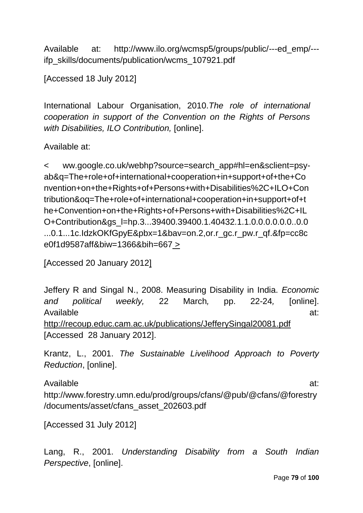Available at: http://www.ilo.org/wcmsp5/groups/public/---ed\_emp/-- ifp\_skills/documents/publication/wcms\_107921.pdf

[Accessed 18 July 2012]

International Labour Organisation, 2010.*The role of international cooperation in support of the Convention on the Rights of Persons with Disabilities, ILO Contribution,* [online].

Available at:

< ww.google.co.uk/webhp?source=search\_app#hl=en&sclient=psyab&q=The+role+of+international+cooperation+in+support+of+the+Co nvention+on+the+Rights+of+Persons+with+Disabilities%2C+ILO+Con tribution&oq=The+role+of+international+cooperation+in+support+of+t he+Convention+on+the+Rights+of+Persons+with+Disabilities%2C+IL O+Contribution&gs\_l=hp.3...39400.39400.1.40432.1.1.0.0.0.0.0.0..0.0 ...0.1...1c.IdzkOKfGpyE&pbx=1&bav=on.2,or.r\_gc.r\_pw.r\_qf.&fp=cc8c e0f1d9587aff&biw=1366&bih=667 >

[Accessed 20 January 2012]

Jeffery R and Singal N., 2008. Measuring Disability in India. *Economic and political weekly,* 22 March*,* pp. 22-24*,* [online]. Available at: <http://recoup.educ.cam.ac.uk/publications/JefferySingal20081.pdf> [Accessed 28 January 2012].

Krantz, L., 2001. *The Sustainable Livelihood Approach to Poverty Reduction*, [online].

Available at: http://www.forestry.umn.edu/prod/groups/cfans/@pub/@cfans/@forestry /documents/asset/cfans\_asset\_202603.pdf

[Accessed 31 July 2012]

Lang, R., 2001. *Understanding Disability from a South Indian Perspective*, [online].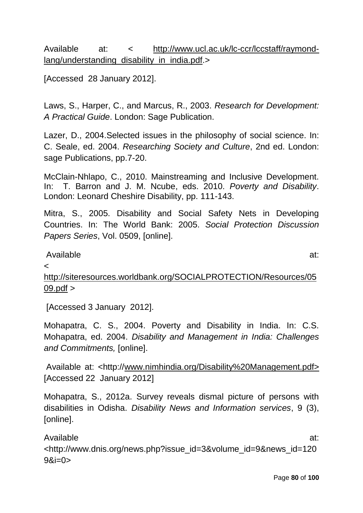# Available at: < [http://www.ucl.ac.uk/lc-ccr/lccstaff/raymond](http://www.ucl.ac.uk/lc-ccr/lccstaff/raymond-lang/understanding_disability_in_india.pdf)[lang/understanding\\_disability\\_in\\_india.pdf.](http://www.ucl.ac.uk/lc-ccr/lccstaff/raymond-lang/understanding_disability_in_india.pdf)>

[Accessed 28 January 2012].

Laws, S., Harper, C., and Marcus, R., 2003. *Research for Development: A Practical Guide*. London: Sage Publication.

Lazer, D., 2004.Selected issues in the philosophy of social science. In: C. Seale, ed. 2004. *Researching Society and Culture*, 2nd ed. London: sage Publications, pp.7-20.

McClain-Nhlapo, C., 2010. Mainstreaming and Inclusive Development. In: T. Barron and J. M. Ncube, eds. 2010. *Poverty and Disability*. London: Leonard Cheshire Disability, pp. 111-143.

Mitra, S., 2005. Disability and Social Safety Nets in Developing Countries. In: The World Bank: 2005. *Social Protection Discussion Papers Series*, Vol. 0509, [online].

### Available at:

 $\epsilon$ 

[http://siteresources.worldbank.org/SOCIALPROTECTION/Resources/05](http://siteresources.worldbank.org/SOCIALPROTECTION/Resources/0509.pdf)  $09.$ pdf  $>$ 

[Accessed 3 January 2012].

Mohapatra, C. S., 2004. Poverty and Disability in India. In: C.S. Mohapatra, ed. 2004. *Disability and Management in India: Challenges and Commitments,* [online].

Available at: <http:/[/www.nimhindia.org/Disability%20Management.pdf>](http://www.nimhindia.org/Disability%20Management.pdf) [Accessed 22 January 2012]

Mohapatra, S., 2012a. Survey reveals dismal picture of persons with disabilities in Odisha. *Disability News and Information services*, 9 (3), [online].

Available at:

<http://www.dnis.org/news.php?issue\_id=3&volume\_id=9&news\_id=120  $9x = 0$ 

Page **80** of **100**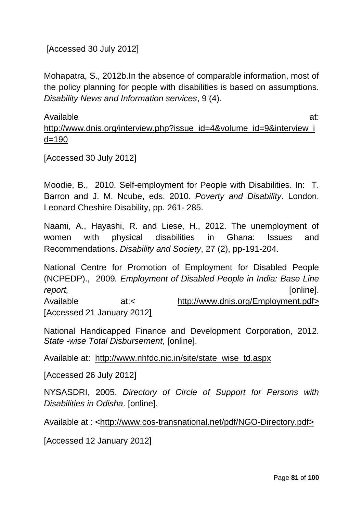[Accessed 30 July 2012]

Mohapatra, S., 2012b.In the absence of comparable information, most of the policy planning for people with disabilities is based on assumptions. *Disability News and Information services*, 9 (4).

Available at: [http://www.dnis.org/interview.php?issue\\_id=4&volume\\_id=9&interview\\_i](http://www.dnis.org/interview.php?issue_id=4&volume_id=9&interview_id=190)  $d = 190$ 

[Accessed 30 July 2012]

Moodie, B., 2010. Self-employment for People with Disabilities. In: T. Barron and J. M. Ncube, eds. 2010. *Poverty and Disability*. London. Leonard Cheshire Disability, pp. 261- 285.

Naami, A., Hayashi, R. and Liese, H., 2012. The unemployment of women with physical disabilities in Ghana: Issues and Recommendations. *Disability and Society*, 27 (2), pp-191-204.

National Centre for Promotion of Employment for Disabled People (NCPEDP)., 2009*. Employment of Disabled People in India: Base Line report,* [online]. Available at:< [http://www.dnis.org/Employment.pdf>](http://www.dnis.org/Employment.pdf) [Accessed 21 January 2012]

National Handicapped Finance and Development Corporation, 2012. *State -wise Total Disbursement*, [online].

Available at: [http://www.nhfdc.nic.in/site/state\\_wise\\_td.aspx](http://www.nhfdc.nic.in/site/state_wise_td.aspx)

[Accessed 26 July 2012]

NYSASDRI, 2005. *Directory of Circle of Support for Persons with Disabilities in Odisha*. [online].

Available at : [<http://www.cos-transnational.net/pdf/NGO-Directory.pdf>](http://www.cos-transnational.net/pdf/NGO-Directory.pdf)

[Accessed 12 January 2012]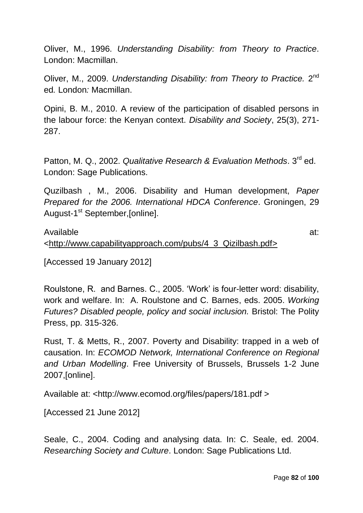Oliver, M., 1996. *Understanding Disability: from Theory to Practice*. London: Macmillan.

Oliver, M., 2009. Understanding Disability: from Theory to Practice. 2<sup>nd</sup> ed*.* London*:* Macmillan.

Opini, B. M., 2010. A review of the participation of disabled persons in the labour force: the Kenyan context. *Disability and Society*, 25(3), 271- 287.

Patton, M. Q., 2002. *Qualitative Research & Evaluation Methods*. 3<sup>rd</sup> ed. London: Sage Publications.

Quzilbash , M., 2006. Disability and Human development, *Paper Prepared for the 2006. International HDCA Conference*. Groningen, 29 August-1<sup>st</sup> September,[online].

Available at: [<http://www.capabilityapproach.com/pubs/4\\_3\\_Qizilbash.pdf>](http://www.capabilityapproach.com/pubs/4_3_Qizilbash.pdf)

[Accessed 19 January 2012]

Roulstone, R. and Barnes. C., 2005. 'Work' is four-letter word: disability, work and welfare. In: A. Roulstone and C. Barnes, eds. 2005. *Working Futures? Disabled people, policy and social inclusion.* Bristol: The Polity Press, pp. 315-326.

Rust, T. & Metts, R., 2007. Poverty and Disability: trapped in a web of causation. In: *ECOMOD Network, International Conference on Regional and Urban Modelling*. Free University of Brussels, Brussels 1-2 June 2007,[online].

Available at: <http://www.ecomod.org/files/papers/181.pdf >

[Accessed 21 June 2012]

Seale, C., 2004. Coding and analysing data. In: C. Seale, ed. 2004. *Researching Society and Culture*. London: Sage Publications Ltd.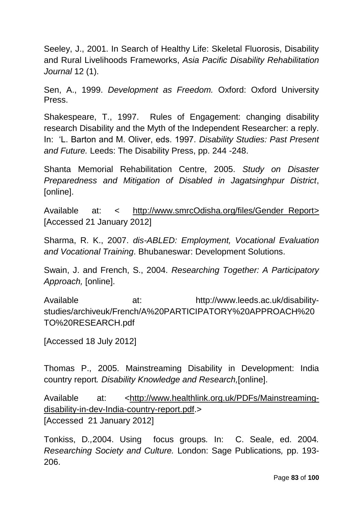Seeley, J., 2001. In Search of Healthy Life: Skeletal Fluorosis, Disability and Rural Livelihoods Frameworks, *Asia Pacific Disability Rehabilitation Journal* 12 (1).

Sen, A., 1999. *Development as Freedom.* Oxford: Oxford University Press.

Shakespeare, T., 1997. Rules of Engagement: changing disability research Disability and the Myth of the Independent Researcher: a reply. In: 'L. Barton and M. Oliver, eds. 1997. *Disability Studies: Past Present and Future.* Leeds: The Disability Press, pp. 244 -248.

Shanta Memorial Rehabilitation Centre, 2005. *Study on Disaster Preparedness and Mitigation of Disabled in Jagatsinghpur District*, [online].

Available at: < http://www.smrcOdisha.org/files/Gender Report> [Accessed 21 January 2012]

Sharma, R. K., 2007. *dis-ABLED: Employment, Vocational Evaluation and Vocational Training*. Bhubaneswar: Development Solutions.

Swain, J. and French, S., 2004. *Researching Together: A Participatory Approach,* [online].

Available at: http://www.leeds.ac.uk/disabilitystudies/archiveuk/French/A%20PARTICIPATORY%20APPROACH%20 TO%20RESEARCH.pdf

[Accessed 18 July 2012]

Thomas P., 2005. Mainstreaming Disability in Development: India country report*. Disability Knowledge and Research,*[online].

Available at: [<http://www.healthlink.org.uk/PDFs/Mainstreaming](http://www.healthlink.org.uk/PDFs/Mainstreaming-disability-in-dev-India-country-report.pdf)[disability-in-dev-India-country-report.pdf.](http://www.healthlink.org.uk/PDFs/Mainstreaming-disability-in-dev-India-country-report.pdf)> [Accessed 21 January 2012]

Tonkiss, D*.,*2004. Using focus groups*.* In: C. Seale, ed. 2004*. Researching Society and Culture.* London: Sage Publications*,* pp. 193- 206.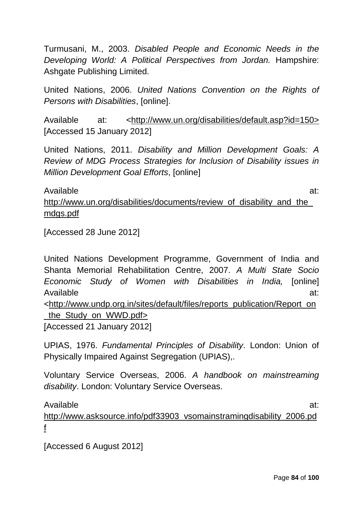Turmusani, M., 2003. *Disabled People and Economic Needs in the Developing World: A Political Perspectives from Jordan.* Hampshire: Ashgate Publishing Limited.

United Nations, 2006. *United Nations Convention on the Rights of Persons with Disabilities*, [online].

Available at: [<http://www.un.org/disabilities/default.asp?id=150>](http://www.un.org/disabilities/default.asp?id=150) [Accessed 15 January 2012]

United Nations, 2011. *Disability and Million Development Goals: A Review of MDG Process Strategies for Inclusion of Disability issues in Million Development Goal Efforts*, [online]

Available at: http://www.un.org/disabilities/documents/review of disability and the [mdgs.pdf](http://www.un.org/disabilities/documents/review_of_disability_and_the_mdgs.pdf)

[Accessed 28 June 2012]

United Nations Development Programme, Government of India and Shanta Memorial Rehabilitation Centre, 2007. *A Multi State Socio Economic Study of Women with Disabilities in India,* [online] Available at: [<http://www.undp.org.in/sites/default/files/reports\\_publication/Report\\_on](http://www.undp.org.in/sites/default/files/reports_publication/Report_on_the_Study_on_WWD.pdf) the Study on WWD.pdf> [Accessed 21 January 2012]

UPIAS, 1976. *Fundamental Principles of Disability*. London: Union of Physically Impaired Against Segregation (UPIAS),.

Voluntary Service Overseas, 2006. *A handbook on mainstreaming disability*. London: Voluntary Service Overseas.

[f](http://www.asksource.info/pdf33903_vsomainstramingdisability_2006.pdf) 

Available at: [http://www.asksource.info/pdf33903\\_vsomainstramingdisability\\_2006.pd](http://www.asksource.info/pdf33903_vsomainstramingdisability_2006.pdf)

[Accessed 6 August 2012]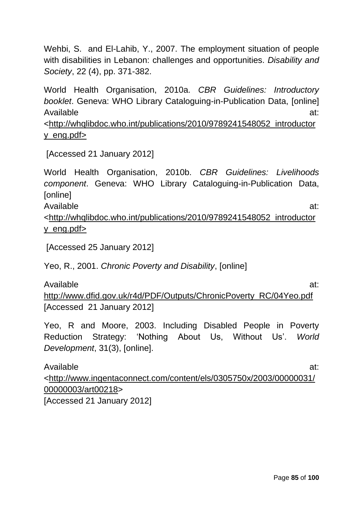Wehbi, S. and El-Lahib, Y., 2007. The employment situation of people with disabilities in Lebanon: challenges and opportunities. *Disability and Society*, 22 (4), pp. 371-382.

World Health Organisation, 2010a. *CBR Guidelines: Introductory booklet*. Geneva: WHO Library Cataloguing-in-Publication Data, [online] Available at: [<http://whqlibdoc.who.int/publications/2010/9789241548052\\_introductor](http://whqlibdoc.who.int/publications/2010/9789241548052_introductory_eng.pdf)

[y\\_eng.pdf>](http://whqlibdoc.who.int/publications/2010/9789241548052_introductory_eng.pdf)

[Accessed 21 January 2012]

World Health Organisation, 2010b. *CBR Guidelines: Livelihoods component*. Geneva: WHO Library Cataloguing-in-Publication Data, [online] Available at:

[<http://whqlibdoc.who.int/publications/2010/9789241548052\\_introductor](http://whqlibdoc.who.int/publications/2010/9789241548052_introductory_eng.pdf) [y\\_eng.pdf>](http://whqlibdoc.who.int/publications/2010/9789241548052_introductory_eng.pdf)

[Accessed 25 January 2012]

Yeo, R., 2001. *Chronic Poverty and Disability*, [online]

Available at: [http://www.dfid.gov.uk/r4d/PDF/Outputs/ChronicPoverty\\_RC/04Yeo.pdf](http://www.dfid.gov.uk/r4d/PDF/Outputs/ChronicPoverty_RC/04Yeo.pdf)  [Accessed 21 January 2012]

Yeo, R and Moore, 2003. Including Disabled People in Poverty Reduction Strategy: 'Nothing About Us, Without Us'. *World Development*, 31(3), [online].

Available at: [<http://www.ingentaconnect.com/content/els/0305750x/2003/00000031/](http://www.ingentaconnect.com/content/els/0305750x/2003/00000031/00000003/art00218) [00000003/art00218>](http://www.ingentaconnect.com/content/els/0305750x/2003/00000031/00000003/art00218) [Accessed 21 January 2012]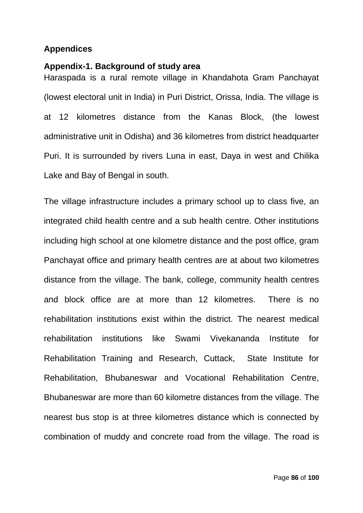### **Appendices**

#### **Appendix-1. Background of study area**

Haraspada is a rural remote village in Khandahota Gram Panchayat (lowest electoral unit in India) in Puri District, Orissa, India. The village is at 12 kilometres distance from the Kanas Block, (the lowest administrative unit in Odisha) and 36 kilometres from district headquarter Puri. It is surrounded by rivers Luna in east, Daya in west and Chilika Lake and Bay of Bengal in south.

The village infrastructure includes a primary school up to class five, an integrated child health centre and a sub health centre. Other institutions including high school at one kilometre distance and the post office, gram Panchayat office and primary health centres are at about two kilometres distance from the village. The bank, college, community health centres and block office are at more than 12 kilometres. There is no rehabilitation institutions exist within the district. The nearest medical rehabilitation institutions like Swami Vivekananda Institute for Rehabilitation Training and Research, Cuttack, State Institute for Rehabilitation, Bhubaneswar and Vocational Rehabilitation Centre, Bhubaneswar are more than 60 kilometre distances from the village. The nearest bus stop is at three kilometres distance which is connected by combination of muddy and concrete road from the village. The road is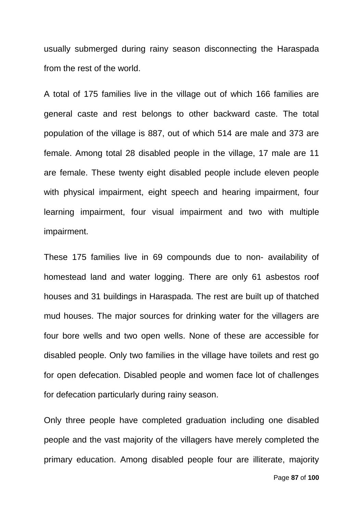usually submerged during rainy season disconnecting the Haraspada from the rest of the world.

A total of 175 families live in the village out of which 166 families are general caste and rest belongs to other backward caste. The total population of the village is 887, out of which 514 are male and 373 are female. Among total 28 disabled people in the village, 17 male are 11 are female. These twenty eight disabled people include eleven people with physical impairment, eight speech and hearing impairment, four learning impairment, four visual impairment and two with multiple impairment.

These 175 families live in 69 compounds due to non- availability of homestead land and water logging. There are only 61 asbestos roof houses and 31 buildings in Haraspada. The rest are built up of thatched mud houses. The major sources for drinking water for the villagers are four bore wells and two open wells. None of these are accessible for disabled people. Only two families in the village have toilets and rest go for open defecation. Disabled people and women face lot of challenges for defecation particularly during rainy season.

Only three people have completed graduation including one disabled people and the vast majority of the villagers have merely completed the primary education. Among disabled people four are illiterate, majority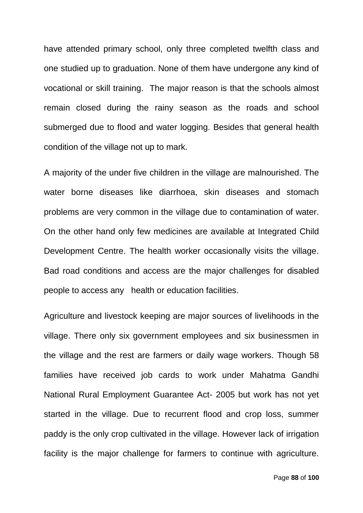have attended primary school, only three completed twelfth class and one studied up to graduation. None of them have undergone any kind of vocational or skill training. The major reason is that the schools almost remain closed during the rainy season as the roads and school submerged due to flood and water logging. Besides that general health condition of the village not up to mark.

A majority of the under five children in the village are malnourished. The water borne diseases like diarrhoea, skin diseases and stomach problems are very common in the village due to contamination of water. On the other hand only few medicines are available at Integrated Child Development Centre. The health worker occasionally visits the village. Bad road conditions and access are the major challenges for disabled people to access any health or education facilities.

Agriculture and livestock keeping are major sources of livelihoods in the village. There only six government employees and six businessmen in the village and the rest are farmers or daily wage workers. Though 58 families have received job cards to work under Mahatma Gandhi National Rural Employment Guarantee Act- 2005 but work has not yet started in the village. Due to recurrent flood and crop loss, summer paddy is the only crop cultivated in the village. However lack of irrigation facility is the major challenge for farmers to continue with agriculture.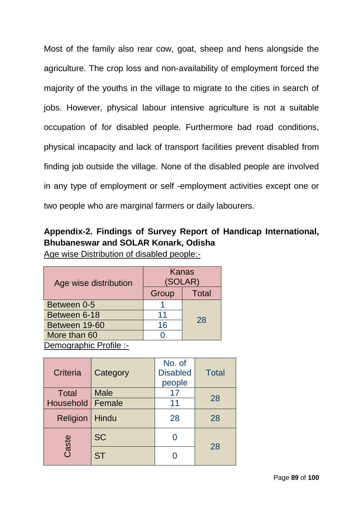Most of the family also rear cow, goat, sheep and hens alongside the agriculture. The crop loss and non-availability of employment forced the majority of the youths in the village to migrate to the cities in search of jobs. However, physical labour intensive agriculture is not a suitable occupation of for disabled people. Furthermore bad road conditions, physical incapacity and lack of transport facilities prevent disabled from finding job outside the village. None of the disabled people are involved in any type of employment or self -employment activities except one or two people who are marginal farmers or daily labourers.

# **Appendix-2. Findings of Survey Report of Handicap International, Bhubaneswar and SOLAR Konark, Odisha**

Age wise Distribution of disabled people:-

| Age wise distribution  | Kanas<br>(SOLAR) |              |
|------------------------|------------------|--------------|
|                        | Group            | <b>Total</b> |
| Between 0-5            |                  |              |
| Between 6-18           | 11               | 28           |
| Between 19-60          | 16               |              |
| More than 60           |                  |              |
| Demographic Profile :- |                  |              |

| Criteria                  | Category    | No. of<br><b>Disabled</b><br>people | <b>Total</b> |  |
|---------------------------|-------------|-------------------------------------|--------------|--|
| <b>Total</b>              | <b>Male</b> | 17                                  | 28           |  |
| <b>Household   Female</b> |             | 11                                  |              |  |
| <b>Religion</b>           | Hindu       | 28                                  | 28           |  |
| Caste                     | <b>SC</b>   |                                     | 28           |  |
|                           | <b>ST</b>   |                                     |              |  |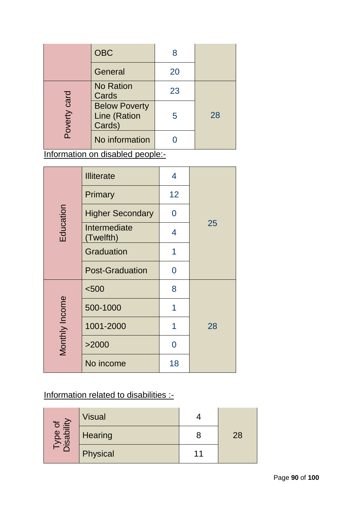|              | <b>OBC</b>                                     |    |    |
|--------------|------------------------------------------------|----|----|
|              | General                                        | 20 |    |
|              | <b>No Ration</b><br>Cards                      | 23 |    |
| Poverty card | <b>Below Poverty</b><br>Line (Ration<br>Cards) | 5  | 28 |
|              | No information                                 |    |    |

Information on disabled people:-

| Education      | <b>Illiterate</b>         | 4              |    |
|----------------|---------------------------|----------------|----|
|                | Primary                   | 12             |    |
|                | <b>Higher Secondary</b>   | 0              |    |
|                | Intermediate<br>(Twelfth) | 4              | 25 |
|                | <b>Graduation</b>         | 1              |    |
|                | <b>Post-Graduation</b>    | 0              |    |
| Monthly Income | < 500                     | 8              |    |
|                | 500-1000                  | 1              |    |
|                | 1001-2000                 | 1              | 28 |
|                | >2000                     | $\overline{0}$ |    |
|                | No income                 | 18             |    |

# Information related to disabilities :-

| i ype of<br>isability | <b>Visual</b> |    |
|-----------------------|---------------|----|
|                       | Hearing       | 28 |
|                       | Physical      |    |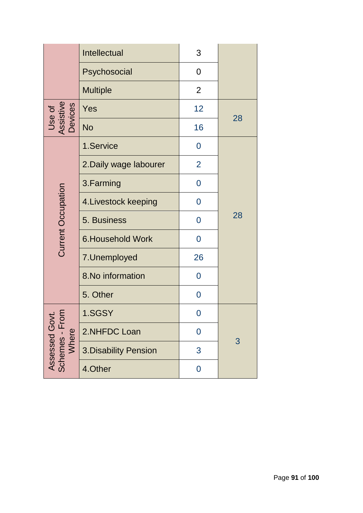|                                                      | Intellectual            | 3              |    |
|------------------------------------------------------|-------------------------|----------------|----|
|                                                      | Psychosocial            | 0              |    |
|                                                      | <b>Multiple</b>         | $\overline{2}$ |    |
| Use of<br>Assistive<br>Devices                       | Yes                     | 12             | 28 |
|                                                      | <b>No</b>               | 16             |    |
|                                                      | 1.Service               | 0              |    |
|                                                      | 2. Daily wage labourer  | $\overline{2}$ |    |
|                                                      | 3. Farming              | $\overline{0}$ |    |
|                                                      | 4. Livestock keeping    | 0              |    |
| <b>Current Occupation</b>                            | 5. Business             | $\overline{0}$ | 28 |
|                                                      | <b>6.Household Work</b> | 0              |    |
|                                                      | 7. Unemployed           | 26             |    |
|                                                      | 8. No information       | 0              |    |
|                                                      | 5. Other                | 0              |    |
| <u>ାସ</u><br>Assessed Gov<br>Schemes - Fron<br>Where | 1.SGSY                  | 0              |    |
|                                                      | 2.NHFDC Loan            | $\mathbf 0$    | 3  |
|                                                      | 3. Disability Pension   | 3              |    |
|                                                      | 4.Other                 | $\mathbf 0$    |    |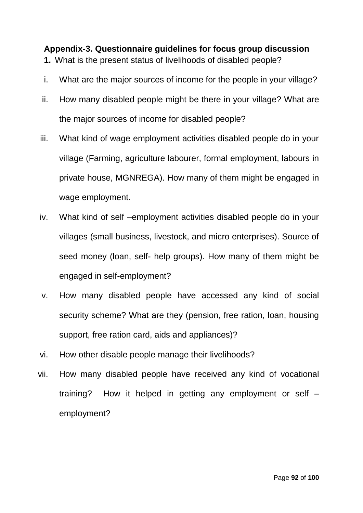**Appendix-3. Questionnaire guidelines for focus group discussion 1.** What is the present status of livelihoods of disabled people?

- i. What are the major sources of income for the people in your village?
- ii. How many disabled people might be there in your village? What are the major sources of income for disabled people?
- iii. What kind of wage employment activities disabled people do in your village (Farming, agriculture labourer, formal employment, labours in private house, MGNREGA). How many of them might be engaged in wage employment.
- iv. What kind of self –employment activities disabled people do in your villages (small business, livestock, and micro enterprises). Source of seed money (loan, self- help groups). How many of them might be engaged in self-employment?
- v. How many disabled people have accessed any kind of social security scheme? What are they (pension, free ration, loan, housing support, free ration card, aids and appliances)?
- vi. How other disable people manage their livelihoods?
- vii. How many disabled people have received any kind of vocational training? How it helped in getting any employment or self – employment?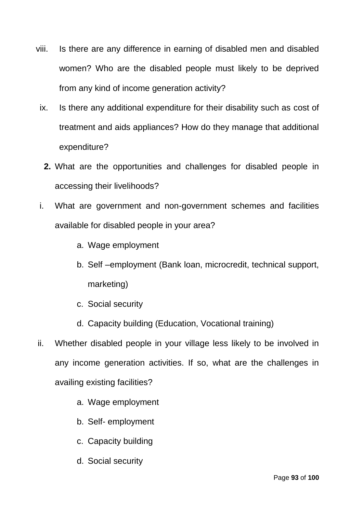- viii. Is there are any difference in earning of disabled men and disabled women? Who are the disabled people must likely to be deprived from any kind of income generation activity?
	- ix. Is there any additional expenditure for their disability such as cost of treatment and aids appliances? How do they manage that additional expenditure?
		- **2.** What are the opportunities and challenges for disabled people in accessing their livelihoods?
	- i. What are government and non-government schemes and facilities available for disabled people in your area?
		- a. Wage employment
		- b. Self –employment (Bank loan, microcredit, technical support, marketing)
		- c. Social security
		- d. Capacity building (Education, Vocational training)
- ii. Whether disabled people in your village less likely to be involved in any income generation activities. If so, what are the challenges in availing existing facilities?
	- a. Wage employment
	- b. Self- employment
	- c. Capacity building
	- d. Social security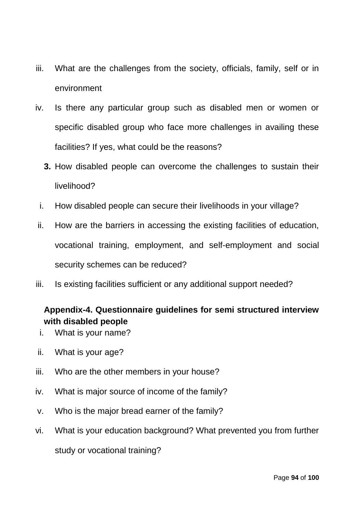- iii. What are the challenges from the society, officials, family, self or in environment
- iv. Is there any particular group such as disabled men or women or specific disabled group who face more challenges in availing these facilities? If yes, what could be the reasons?
	- **3.** How disabled people can overcome the challenges to sustain their livelihood?
	- i. How disabled people can secure their livelihoods in your village?
- ii. How are the barriers in accessing the existing facilities of education, vocational training, employment, and self-employment and social security schemes can be reduced?
- iii. Is existing facilities sufficient or any additional support needed?

### **Appendix-4. Questionnaire guidelines for semi structured interview with disabled people**

- i. What is your name?
- ii. What is your age?
- iii. Who are the other members in your house?
- iv. What is major source of income of the family?
- v. Who is the major bread earner of the family?
- vi. What is your education background? What prevented you from further study or vocational training?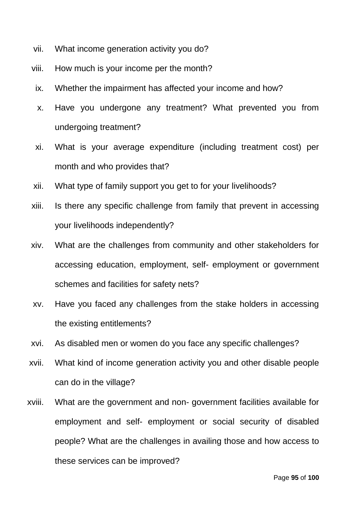- vii. What income generation activity you do?
- viii. How much is your income per the month?
- ix. Whether the impairment has affected your income and how?
- x. Have you undergone any treatment? What prevented you from undergoing treatment?
- xi. What is your average expenditure (including treatment cost) per month and who provides that?
- xii. What type of family support you get to for your livelihoods?
- xiii. Is there any specific challenge from family that prevent in accessing your livelihoods independently?
- xiv. What are the challenges from community and other stakeholders for accessing education, employment, self- employment or government schemes and facilities for safety nets?
- xv. Have you faced any challenges from the stake holders in accessing the existing entitlements?
- xvi. As disabled men or women do you face any specific challenges?
- xvii. What kind of income generation activity you and other disable people can do in the village?
- xviii. What are the government and non- government facilities available for employment and self- employment or social security of disabled people? What are the challenges in availing those and how access to these services can be improved?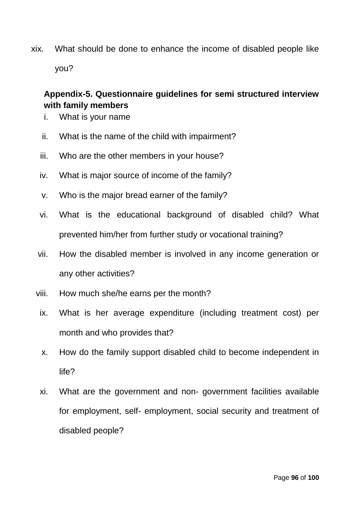xix. What should be done to enhance the income of disabled people like you?

# **Appendix-5. Questionnaire guidelines for semi structured interview with family members**

- i. What is your name
- ii. What is the name of the child with impairment?
- iii. Who are the other members in your house?
- iv. What is major source of income of the family?
- v. Who is the major bread earner of the family?
- vi. What is the educational background of disabled child? What prevented him/her from further study or vocational training?
- vii. How the disabled member is involved in any income generation or any other activities?
- viii. How much she/he earns per the month?
- ix. What is her average expenditure (including treatment cost) per month and who provides that?
- x. How do the family support disabled child to become independent in life?
- xi. What are the government and non- government facilities available for employment, self- employment, social security and treatment of disabled people?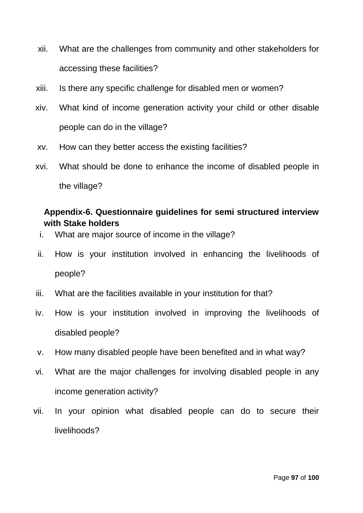- xii. What are the challenges from community and other stakeholders for accessing these facilities?
- xiii. Is there any specific challenge for disabled men or women?
- xiv. What kind of income generation activity your child or other disable people can do in the village?
- xv. How can they better access the existing facilities?
- xvi. What should be done to enhance the income of disabled people in the village?

# **Appendix-6. Questionnaire guidelines for semi structured interview with Stake holders**

- i. What are major source of income in the village?
- ii. How is your institution involved in enhancing the livelihoods of people?
- iii. What are the facilities available in your institution for that?
- iv. How is your institution involved in improving the livelihoods of disabled people?
- v. How many disabled people have been benefited and in what way?
- vi. What are the major challenges for involving disabled people in any income generation activity?
- vii. In your opinion what disabled people can do to secure their livelihoods?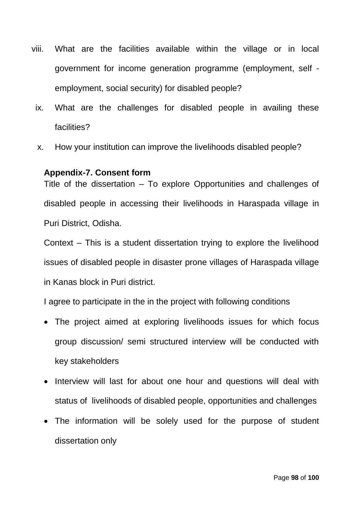- viii. What are the facilities available within the village or in local government for income generation programme (employment, self employment, social security) for disabled people?
	- ix. What are the challenges for disabled people in availing these facilities?
	- x. How your institution can improve the livelihoods disabled people?

### **Appendix-7. Consent form**

Title of the dissertation – To explore Opportunities and challenges of disabled people in accessing their livelihoods in Haraspada village in Puri District, Odisha.

Context – This is a student dissertation trying to explore the livelihood issues of disabled people in disaster prone villages of Haraspada village in Kanas block in Puri district.

I agree to participate in the in the project with following conditions

- The project aimed at exploring livelihoods issues for which focus group discussion/ semi structured interview will be conducted with key stakeholders
- Interview will last for about one hour and questions will deal with status of livelihoods of disabled people, opportunities and challenges
- The information will be solely used for the purpose of student dissertation only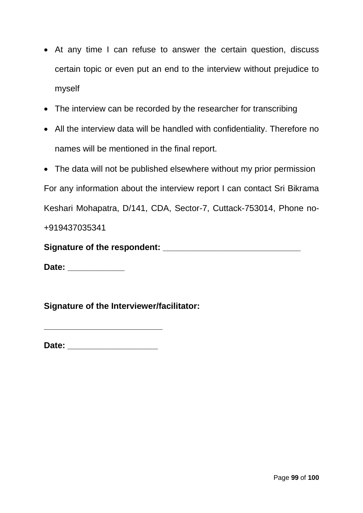- At any time I can refuse to answer the certain question, discuss certain topic or even put an end to the interview without prejudice to myself
- The interview can be recorded by the researcher for transcribing
- All the interview data will be handled with confidentiality. Therefore no names will be mentioned in the final report.
- The data will not be published elsewhere without my prior permission

For any information about the interview report I can contact Sri Bikrama Keshari Mohapatra, D/141, CDA, Sector-7, Cuttack-753014, Phone no- +919437035341

**Signature of the respondent: \_\_\_\_\_\_\_\_\_\_\_\_\_\_\_\_\_\_\_\_\_\_\_\_\_\_\_\_\_**

**Date: \_\_\_\_\_\_\_\_\_\_\_\_** 

**Signature of the Interviewer/facilitator:** 

**Date: \_\_\_\_\_\_\_\_\_\_\_\_\_\_\_\_\_\_\_**

**\_\_\_\_\_\_\_\_\_\_\_\_\_\_\_\_\_\_\_\_\_\_\_\_\_**